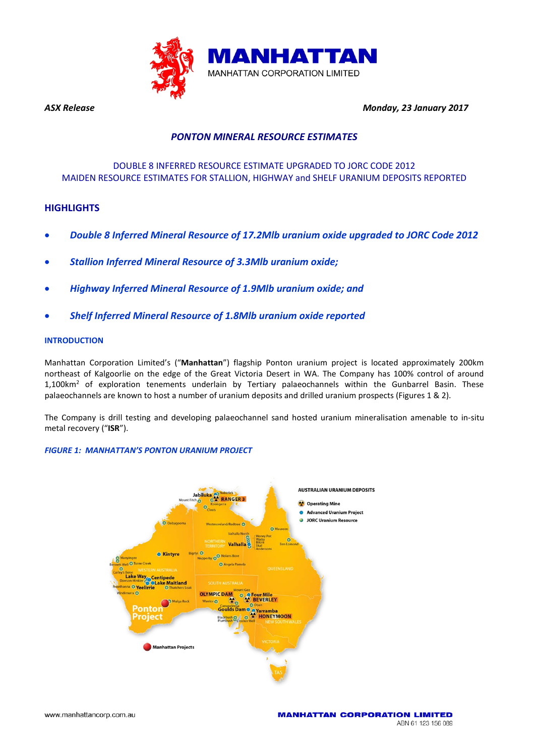

*ASX Release Monday, 23 January 2017* 

## *PONTON MINERAL RESOURCE ESTIMATES*

## DOUBLE 8 INFERRED RESOURCE ESTIMATE UPGRADED TO JORC CODE 2012 MAIDEN RESOURCE ESTIMATES FOR STALLION, HIGHWAY and SHELF URANIUM DEPOSITS REPORTED

### **HIGHLIGHTS**

- *Double 8 Inferred Mineral Resource of 17.2Mlb uranium oxide upgraded to JORC Code 2012*
- *Stallion Inferred Mineral Resource of 3.3Mlb uranium oxide;*
- *Highway Inferred Mineral Resource of 1.9Mlb uranium oxide; and*
- *Shelf Inferred Mineral Resource of 1.8Mlb uranium oxide reported*

#### **INTRODUCTION**

Manhattan Corporation Limited's ("**Manhattan**") flagship Ponton uranium project is located approximately 200km northeast of Kalgoorlie on the edge of the Great Victoria Desert in WA. The Company has 100% control of around 1,100km<sup>2</sup> of exploration tenements underlain by Tertiary palaeochannels within the Gunbarrel Basin. These palaeochannels are known to host a number of uranium deposits and drilled uranium prospects (Figures 1 & 2).

The Company is drill testing and developing palaeochannel sand hosted uranium mineralisation amenable to in-situ metal recovery ("**ISR**").

#### *FIGURE 1: MANHATTAN'S PONTON URANIUM PROJECT*

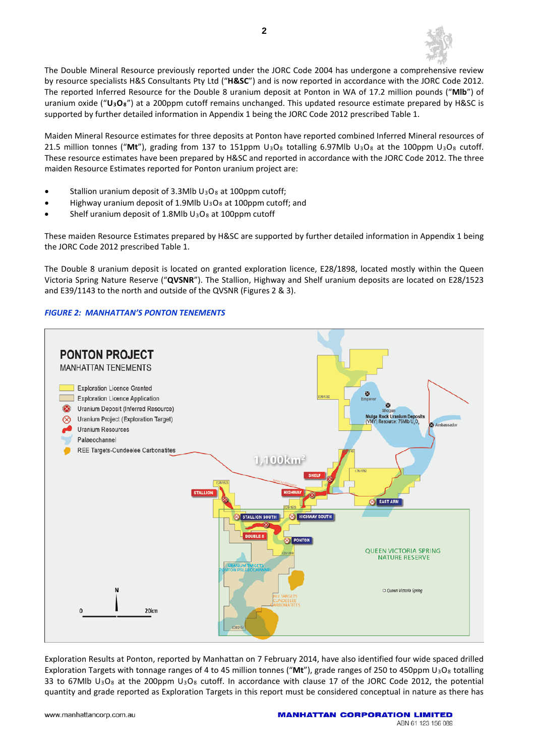

The Double Mineral Resource previously reported under the JORC Code 2004 has undergone a comprehensive review by resource specialists H&S Consultants Pty Ltd ("**H&SC**") and is now reported in accordance with the JORC Code 2012. The reported Inferred Resource for the Double 8 uranium deposit at Ponton in WA of 17.2 million pounds ("**Mlb**") of uranium oxide ("**U3O8**") at a 200ppm cutoff remains unchanged. This updated resource estimate prepared by H&SC is supported by further detailed information in Appendix 1 being the JORC Code 2012 prescribed Table 1.

Maiden Mineral Resource estimates for three deposits at Ponton have reported combined Inferred Mineral resources of 21.5 million tonnes ("Mt"), grading from 137 to 151ppm U<sub>3</sub>O<sub>8</sub> totalling 6.97Mlb U<sub>3</sub>O<sub>8</sub> at the 100ppm U<sub>3</sub>O<sub>8</sub> cutoff. These resource estimates have been prepared by H&SC and reported in accordance with the JORC Code 2012. The three maiden Resource Estimates reported for Ponton uranium project are:

- Stallion uranium deposit of 3.3Mlb U<sub>3</sub>O<sub>8</sub> at 100ppm cutoff;
- Highway uranium deposit of 1.9Mlb  $U_3O_8$  at 100ppm cutoff; and
- Shelf uranium deposit of 1.8Mlb  $U_3O_8$  at 100ppm cutoff

These maiden Resource Estimates prepared by H&SC are supported by further detailed information in Appendix 1 being the JORC Code 2012 prescribed Table 1.

The Double 8 uranium deposit is located on granted exploration licence, E28/1898, located mostly within the Queen Victoria Spring Nature Reserve ("**QVSNR**"). The Stallion, Highway and Shelf uranium deposits are located on E28/1523 and E39/1143 to the north and outside of the QVSNR (Figures 2 & 3).

#### *FIGURE 2: MANHATTAN'S PONTON TENEMENTS*



Exploration Results at Ponton, reported by Manhattan on 7 February 2014, have also identified four wide spaced drilled Exploration Targets with tonnage ranges of 4 to 45 million tonnes ("Mt"), grade ranges of 250 to 450ppm U<sub>3</sub>O<sub>8</sub> totalling 33 to 67Mlb  $U_3O_8$  at the 200ppm  $U_3O_8$  cutoff. In accordance with clause 17 of the JORC Code 2012, the potential quantity and grade reported as Exploration Targets in this report must be considered conceptual in nature as there has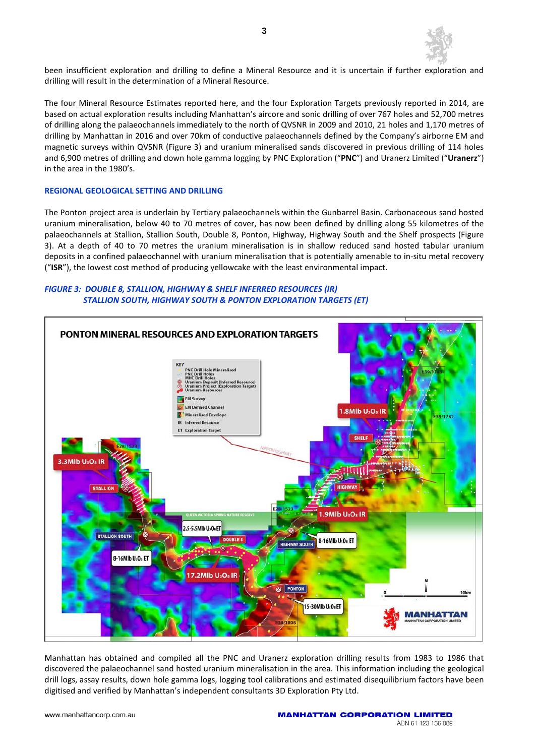

been insufficient exploration and drilling to define a Mineral Resource and it is uncertain if further exploration and drilling will result in the determination of a Mineral Resource.

The four Mineral Resource Estimates reported here, and the four Exploration Targets previously reported in 2014, are based on actual exploration results including Manhattan's aircore and sonic drilling of over 767 holes and 52,700 metres of drilling along the palaeochannels immediately to the north of QVSNR in 2009 and 2010, 21 holes and 1,170 metres of drilling by Manhattan in 2016 and over 70km of conductive palaeochannels defined by the Company's airborne EM and magnetic surveys within QVSNR (Figure 3) and uranium mineralised sands discovered in previous drilling of 114 holes and 6,900 metres of drilling and down hole gamma logging by PNC Exploration ("**PNC**") and Uranerz Limited ("**Uranerz**") in the area in the 1980's.

#### **REGIONAL GEOLOGICAL SETTING AND DRILLING**

The Ponton project area is underlain by Tertiary palaeochannels within the Gunbarrel Basin. Carbonaceous sand hosted uranium mineralisation, below 40 to 70 metres of cover, has now been defined by drilling along 55 kilometres of the palaeochannels at Stallion, Stallion South, Double 8, Ponton, Highway, Highway South and the Shelf prospects (Figure 3). At a depth of 40 to 70 metres the uranium mineralisation is in shallow reduced sand hosted tabular uranium deposits in a confined palaeochannel with uranium mineralisation that is potentially amenable to in-situ metal recovery ("**ISR**"), the lowest cost method of producing yellowcake with the least environmental impact.

#### *FIGURE 3: DOUBLE 8, STALLION, HIGHWAY & SHELF INFERRED RESOURCES (IR) STALLION SOUTH, HIGHWAY SOUTH & PONTON EXPLORATION TARGETS (ET)*



Manhattan has obtained and compiled all the PNC and Uranerz exploration drilling results from 1983 to 1986 that discovered the palaeochannel sand hosted uranium mineralisation in the area. This information including the geological drill logs, assay results, down hole gamma logs, logging tool calibrations and estimated disequilibrium factors have been digitised and verified by Manhattan's independent consultants 3D Exploration Pty Ltd.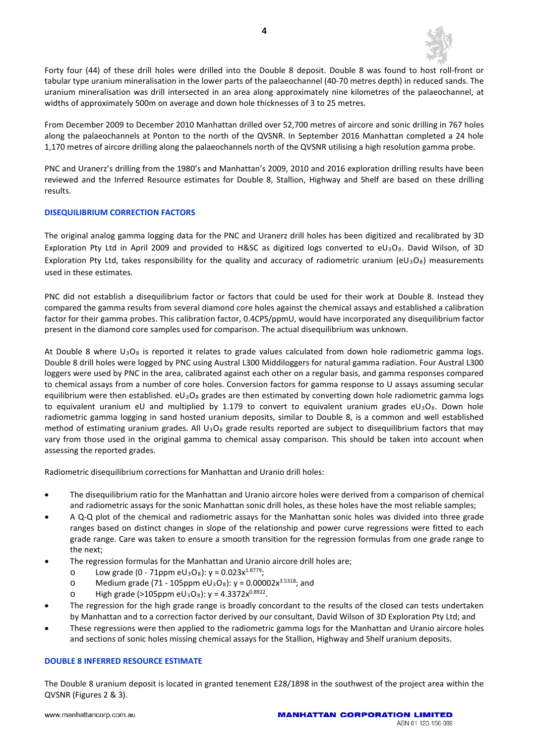

Forty four (44) of these drill holes were drilled into the Double 8 deposit. Double 8 was found to host roll-front or tabular type uranium mineralisation in the lower parts of the palaeochannel (40-70 metres depth) in reduced sands. The uranium mineralisation was drill intersected in an area along approximately nine kilometres of the palaeochannel, at widths of approximately 500m on average and down hole thicknesses of 3 to 25 metres.

From December 2009 to December 2010 Manhattan drilled over 52,700 metres of aircore and sonic drilling in 767 holes along the palaeochannels at Ponton to the north of the QVSNR. In September 2016 Manhattan completed a 24 hole 1,170 metres of aircore drilling along the palaeochannels north of the QVSNR utilising a high resolution gamma probe.

PNC and Uranerz's drilling from the 1980's and Manhattan's 2009, 2010 and 2016 exploration drilling results have been reviewed and the Inferred Resource estimates for Double 8, Stallion, Highway and Shelf are based on these drilling results.

#### **DISEQUILIBRIUM CORRECTION FACTORS**

The original analog gamma logging data for the PNC and Uranerz drill holes has been digitized and recalibrated by 3D Exploration Pty Ltd in April 2009 and provided to H&SC as digitized logs converted to eU<sub>3</sub>O<sub>8</sub>. David Wilson, of 3D Exploration Pty Ltd, takes responsibility for the quality and accuracy of radiometric uranium ( $eU_3O_8$ ) measurements used in these estimates.

PNC did not establish a disequilibrium factor or factors that could be used for their work at Double 8. Instead they compared the gamma results from several diamond core holes against the chemical assays and established a calibration factor for their gamma probes. This calibration factor, 0.4CPS/ppmU, would have incorporated any disequilibrium factor present in the diamond core samples used for comparison. The actual disequilibrium was unknown.

At Double 8 where  $U_3O_8$  is reported it relates to grade values calculated from down hole radiometric gamma logs. Double 8 drill holes were logged by PNC using Austral L300 Middiloggers for natural gamma radiation. Four Austral L300 loggers were used by PNC in the area, calibrated against each other on a regular basis, and gamma responses compared to chemical assays from a number of core holes. Conversion factors for gamma response to U assays assuming secular equilibrium were then established.  $eU_3O_8$  grades are then estimated by converting down hole radiometric gamma logs to equivalent uranium eU and multiplied by 1.179 to convert to equivalent uranium grades eU<sub>3</sub>O<sub>8</sub>. Down hole radiometric gamma logging in sand hosted uranium deposits, similar to Double 8, is a common and well established method of estimating uranium grades. All  $U_3O_8$  grade results reported are subject to disequilibrium factors that may vary from those used in the original gamma to chemical assay comparison. This should be taken into account when assessing the reported grades.

Radiometric disequilibrium corrections for Manhattan and Uranio drill holes:

- The disequilibrium ratio for the Manhattan and Uranio aircore holes were derived from a comparison of chemical and radiometric assays for the sonic Manhattan sonic drill holes, as these holes have the most reliable samples;
- A Q-Q plot of the chemical and radiometric assays for the Manhattan sonic holes was divided into three grade ranges based on distinct changes in slope of the relationship and power curve regressions were fitted to each grade range. Care was taken to ensure a smooth transition for the regression formulas from one grade range to the next;
- The regression formulas for the Manhattan and Uranio aircore drill holes are;
	- o Low grade  $(0 71$ ppm eU<sub>3</sub>O<sub>8</sub>):  $y = 0.023x^{1.8779}$ ;
	- o Medium grade (71 105ppm eU<sub>3</sub>O<sub>8</sub>):  $y = 0.00002x^{3.5318}$ ; and
	- o High grade (>105ppm eU<sub>3</sub>O<sub>8</sub>):  $y = 4.3372x^{0.8922}$ .
- The regression for the high grade range is broadly concordant to the results of the closed can tests undertaken by Manhattan and to a correction factor derived by our consultant, David Wilson of 3D Exploration Pty Ltd; and
- These regressions were then applied to the radiometric gamma logs for the Manhattan and Uranio aircore holes and sections of sonic holes missing chemical assays for the Stallion, Highway and Shelf uranium deposits.

#### **DOUBLE 8 INFERRED RESOURCE ESTIMATE**

The Double 8 uranium deposit is located in granted tenement E28/1898 in the southwest of the project area within the QVSNR (Figures 2 & 3).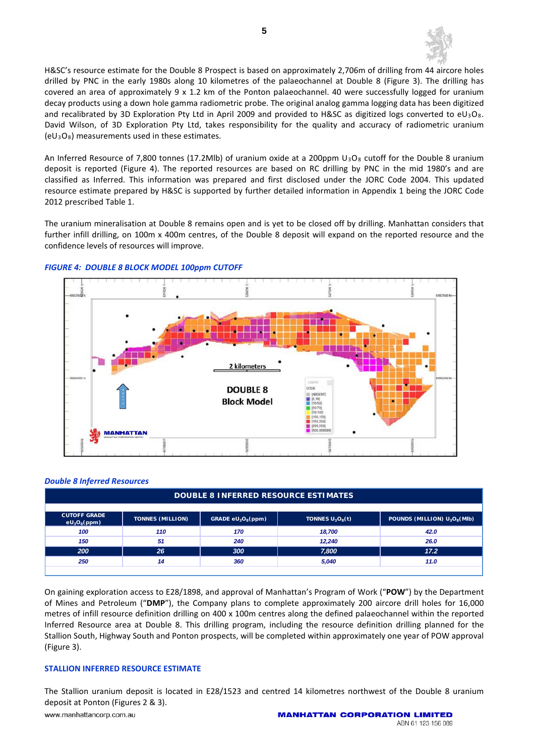

H&SC's resource estimate for the Double 8 Prospect is based on approximately 2,706m of drilling from 44 aircore holes drilled by PNC in the early 1980s along 10 kilometres of the palaeochannel at Double 8 (Figure 3). The drilling has covered an area of approximately 9 x 1.2 km of the Ponton palaeochannel. 40 were successfully logged for uranium decay products using a down hole gamma radiometric probe. The original analog gamma logging data has been digitized and recalibrated by 3D Exploration Pty Ltd in April 2009 and provided to H&SC as digitized logs converted to eU<sub>3</sub>O<sub>8</sub>. David Wilson, of 3D Exploration Pty Ltd, takes responsibility for the quality and accuracy of radiometric uranium  $(eU_3O_8)$  measurements used in these estimates.

An Inferred Resource of 7,800 tonnes (17.2Mlb) of uranium oxide at a 200ppm  $U_3O_8$  cutoff for the Double 8 uranium deposit is reported (Figure 4). The reported resources are based on RC drilling by PNC in the mid 1980's and are classified as Inferred. This information was prepared and first disclosed under the JORC Code 2004. This updated resource estimate prepared by H&SC is supported by further detailed information in Appendix 1 being the JORC Code 2012 prescribed Table 1.

The uranium mineralisation at Double 8 remains open and is yet to be closed off by drilling. Manhattan considers that further infill drilling, on 100m x 400m centres, of the Double 8 deposit will expand on the reported resource and the confidence levels of resources will improve.



#### *FIGURE 4: DOUBLE 8 BLOCK MODEL 100ppm CUTOFF*

#### *Double 8 Inferred Resources*

| <b>DOUBLE 8 INFERRED RESOURCE ESTIMATES</b> |                         |                                            |                    |                                                      |
|---------------------------------------------|-------------------------|--------------------------------------------|--------------------|------------------------------------------------------|
|                                             |                         |                                            |                    |                                                      |
| <b>CUTOFF GRADE</b><br>$eU_3O_8(ppm)$       | <b>TONNES (MILLION)</b> | GRADE eU <sub>3</sub> O <sub>8</sub> (ppm) | TONNES $U_3O_8(t)$ | POUNDS (MILLION) U <sub>3</sub> O <sub>8</sub> (MIb) |
| 100                                         | 110                     | 170                                        | 18.700             | 42.0                                                 |
| 150                                         | 51                      | 240                                        | 12.240             | 26.0                                                 |
| 200                                         | 26                      | 300                                        | 7,800              | 17.2                                                 |
| 250                                         | 14                      | 360                                        | 5,040              | 11.0                                                 |
|                                             |                         |                                            |                    |                                                      |

On gaining exploration access to E28/1898, and approval of Manhattan's Program of Work ("**POW**") by the Department of Mines and Petroleum ("**DMP**"), the Company plans to complete approximately 200 aircore drill holes for 16,000 metres of infill resource definition drilling on 400 x 100m centres along the defined palaeochannel within the reported Inferred Resource area at Double 8. This drilling program, including the resource definition drilling planned for the Stallion South, Highway South and Ponton prospects, will be completed within approximately one year of POW approval (Figure 3).

#### **STALLION INFERRED RESOURCE ESTIMATE**

The Stallion uranium deposit is located in E28/1523 and centred 14 kilometres northwest of the Double 8 uranium deposit at Ponton (Figures 2 & 3). www.manhattancorp.com.au **MANHATTAN CORPORATION LIMITED**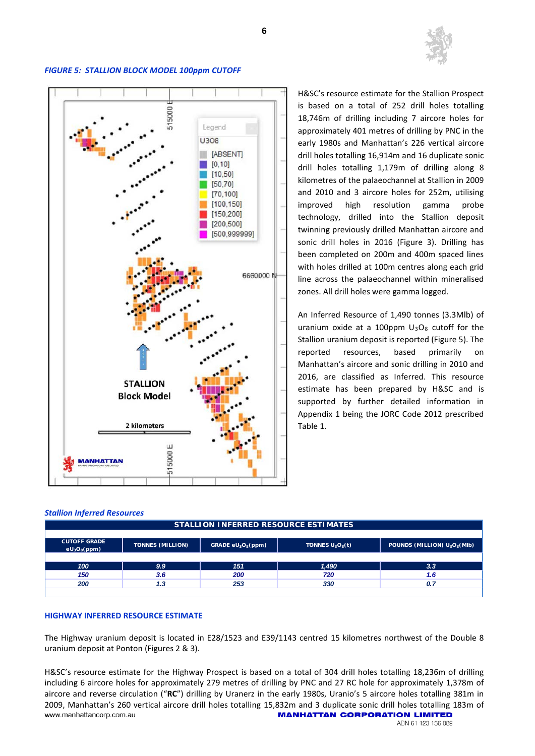

# 5000 Legend U308 **IABSENTI**  $[0, 10]$  $[10, 50]$  $[50, 70]$ [70,100]  $[100, 150]$  $[150, 200]$  $[200, 500]$ [500,999999] 6660000 N **STALLION Block Model** 2 kilometers Ш 515000 **MANHATTAN**

#### *FIGURE 5: STALLION BLOCK MODEL 100ppm CUTOFF*

H&SC's resource estimate for the Stallion Prospect is based on a total of 252 drill holes totalling 18,746m of drilling including 7 aircore holes for approximately 401 metres of drilling by PNC in the early 1980s and Manhattan's 226 vertical aircore drill holes totalling 16,914m and 16 duplicate sonic drill holes totalling 1,179m of drilling along 8 kilometres of the palaeochannel at Stallion in 2009 and 2010 and 3 aircore holes for 252m, utilising improved high resolution gamma probe technology, drilled into the Stallion deposit twinning previously drilled Manhattan aircore and sonic drill holes in 2016 (Figure 3). Drilling has been completed on 200m and 400m spaced lines with holes drilled at 100m centres along each grid line across the palaeochannel within mineralised zones. All drill holes were gamma logged.

An Inferred Resource of 1,490 tonnes (3.3Mlb) of uranium oxide at a 100ppm  $U_3O_8$  cutoff for the Stallion uranium deposit is reported (Figure 5). The reported resources, based primarily on Manhattan's aircore and sonic drilling in 2010 and 2016, are classified as Inferred. This resource estimate has been prepared by H&SC and is supported by further detailed information in Appendix 1 being the JORC Code 2012 prescribed Table 1.

#### *Stallion Inferred Resources*

|                                       | <b>SIALLIUN INFERRED RESUURCE ESIIMAIES</b> |                      |                    |                                                      |
|---------------------------------------|---------------------------------------------|----------------------|--------------------|------------------------------------------------------|
|                                       |                                             |                      |                    |                                                      |
| <b>CUTOFF GRADE</b><br>$eU_3O_8(ppm)$ | <b>TONNES (MILLION)</b>                     | GRADE $eU_3O_8(ppm)$ | TONNES $U_3O_8(t)$ | POUNDS (MILLION) U <sub>3</sub> O <sub>8</sub> (MIb) |
|                                       |                                             |                      |                    |                                                      |
| 100                                   | 9.9                                         | 151                  | 1,490              | 3.3                                                  |
| 150                                   | 3.6                                         | 200                  | 720                | 1.6                                                  |
| 200                                   | 1.3                                         | 253                  | 330                | 0.7                                                  |
|                                       |                                             |                      |                    |                                                      |

**STALLION INFERRED RESOURCE ESTIMATES**

**6**

#### **HIGHWAY INFERRED RESOURCE ESTIMATE**

The Highway uranium deposit is located in E28/1523 and E39/1143 centred 15 kilometres northwest of the Double 8 uranium deposit at Ponton (Figures 2 & 3).

H&SC's resource estimate for the Highway Prospect is based on a total of 304 drill holes totalling 18,236m of drilling including 6 aircore holes for approximately 279 metres of drilling by PNC and 27 RC hole for approximately 1,378m of aircore and reverse circulation ("**RC**") drilling by Uranerz in the early 1980s, Uranio's 5 aircore holes totalling 381m in 2009, Manhattan's 260 vertical aircore drill holes totalling 15,832m and 3 duplicate sonic drill holes totalling 183m of www.manhattancorp.com.au **and all and the store of the manhattan conponation Limited** www.manhattancorp.com.au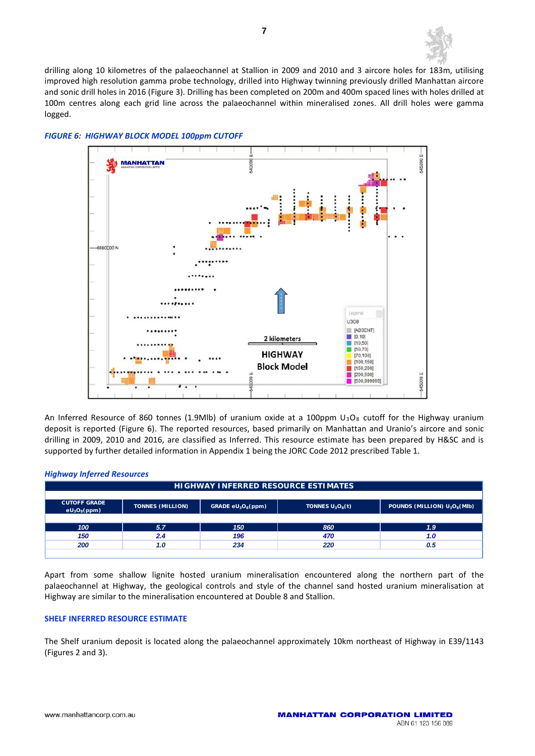

drilling along 10 kilometres of the palaeochannel at Stallion in 2009 and 2010 and 3 aircore holes for 183m, utilising improved high resolution gamma probe technology, drilled into Highway twinning previously drilled Manhattan aircore and sonic drill holes in 2016 (Figure 3). Drilling has been completed on 200m and 400m spaced lines with holes drilled at 100m centres along each grid line across the palaeochannel within mineralised zones. All drill holes were gamma logged.



#### *FIGURE 6: HIGHWAY BLOCK MODEL 100ppm CUTOFF*

An Inferred Resource of 860 tonnes (1.9Mlb) of uranium oxide at a 100ppm  $U_3O_8$  cutoff for the Highway uranium deposit is reported (Figure 6). The reported resources, based primarily on Manhattan and Uranio's aircore and sonic drilling in 2009, 2010 and 2016, are classified as Inferred. This resource estimate has been prepared by H&SC and is supported by further detailed information in Appendix 1 being the JORC Code 2012 prescribed Table 1.

#### *Highway Inferred Resources*

| <b>HIGHWAY INFERRED RESOURCE ESTIMATES</b> |                         |                                            |                                          |                                                      |
|--------------------------------------------|-------------------------|--------------------------------------------|------------------------------------------|------------------------------------------------------|
|                                            |                         |                                            |                                          |                                                      |
| <b>CUTOFF GRADE</b><br>$eU_3O_8(ppm)$      | <b>TONNES (MILLION)</b> | GRADE eU <sub>3</sub> O <sub>8</sub> (ppm) | TONNES U <sub>3</sub> O <sub>8</sub> (t) | POUNDS (MILLION) U <sub>3</sub> O <sub>8</sub> (MIb) |
|                                            |                         |                                            |                                          |                                                      |
| 100                                        | 5.7                     | 150                                        | 860                                      | 1.9                                                  |
| 150                                        | 2.4                     | 196                                        | 470                                      | 1.0                                                  |
| 200                                        | 1.0                     | 234                                        | 220                                      | 0.5                                                  |
|                                            |                         |                                            |                                          |                                                      |

Apart from some shallow lignite hosted uranium mineralisation encountered along the northern part of the palaeochannel at Highway, the geological controls and style of the channel sand hosted uranium mineralisation at Highway are similar to the mineralisation encountered at Double 8 and Stallion.

#### **SHELF INFERRED RESOURCE ESTIMATE**

The Shelf uranium deposit is located along the palaeochannel approximately 10km northeast of Highway in E39/1143 (Figures 2 and 3).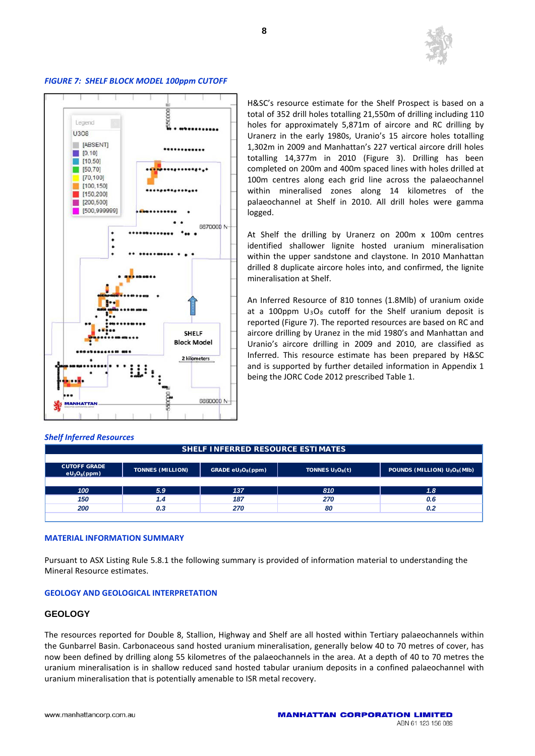

#### *FIGURE 7: SHELF BLOCK MODEL 100ppm CUTOFF*



*Shelf Inferred Resources*

H&SC's resource estimate for the Shelf Prospect is based on a total of 352 drill holes totalling 21,550m of drilling including 110 holes for approximately 5,871m of aircore and RC drilling by Uranerz in the early 1980s, Uranio's 15 aircore holes totalling 1,302m in 2009 and Manhattan's 227 vertical aircore drill holes totalling 14,377m in 2010 (Figure 3). Drilling has been completed on 200m and 400m spaced lines with holes drilled at 100m centres along each grid line across the palaeochannel within mineralised zones along 14 kilometres of the palaeochannel at Shelf in 2010. All drill holes were gamma logged.

At Shelf the drilling by Uranerz on 200m x 100m centres identified shallower lignite hosted uranium mineralisation within the upper sandstone and claystone. In 2010 Manhattan drilled 8 duplicate aircore holes into, and confirmed, the lignite mineralisation at Shelf.

An Inferred Resource of 810 tonnes (1.8Mlb) of uranium oxide at a 100ppm  $U_3O_8$  cutoff for the Shelf uranium deposit is reported (Figure 7). The reported resources are based on RC and aircore drilling by Uranez in the mid 1980's and Manhattan and Uranio's aircore drilling in 2009 and 2010, are classified as Inferred. This resource estimate has been prepared by H&SC and is supported by further detailed information in Appendix 1 being the JORC Code 2012 prescribed Table 1.

| <b>CUTOFF GRADE</b><br>$eU_3O_8(ppm)$ | <b>TONNES (MILLION)</b> | GRADE $eU_3O_8(ppm)$ | TONNES $U_3O_8(t)$ | POUNDS (MILLION) U <sub>3</sub> O <sub>8</sub> (MIb) |
|---------------------------------------|-------------------------|----------------------|--------------------|------------------------------------------------------|
|                                       |                         |                      |                    |                                                      |
| 100                                   | 5.9                     | 137                  | 810                | 1.8                                                  |
| 150                                   | 1.4                     | 187                  | 270                | 0.6                                                  |
| 200                                   | 0.3                     | 270                  | 80                 | 0.2                                                  |
|                                       |                         |                      |                    |                                                      |

**SHELF INFERRED RESOURCE ESTIMATES**

#### **MATERIAL INFORMATION SUMMARY**

Pursuant to ASX Listing Rule 5.8.1 the following summary is provided of information material to understanding the Mineral Resource estimates.

#### **GEOLOGY AND GEOLOGICAL INTERPRETATION**

#### **GEOLOGY**

The resources reported for Double 8, Stallion, Highway and Shelf are all hosted within Tertiary palaeochannels within the Gunbarrel Basin. Carbonaceous sand hosted uranium mineralisation, generally below 40 to 70 metres of cover, has now been defined by drilling along 55 kilometres of the palaeochannels in the area. At a depth of 40 to 70 metres the uranium mineralisation is in shallow reduced sand hosted tabular uranium deposits in a confined palaeochannel with uranium mineralisation that is potentially amenable to ISR metal recovery.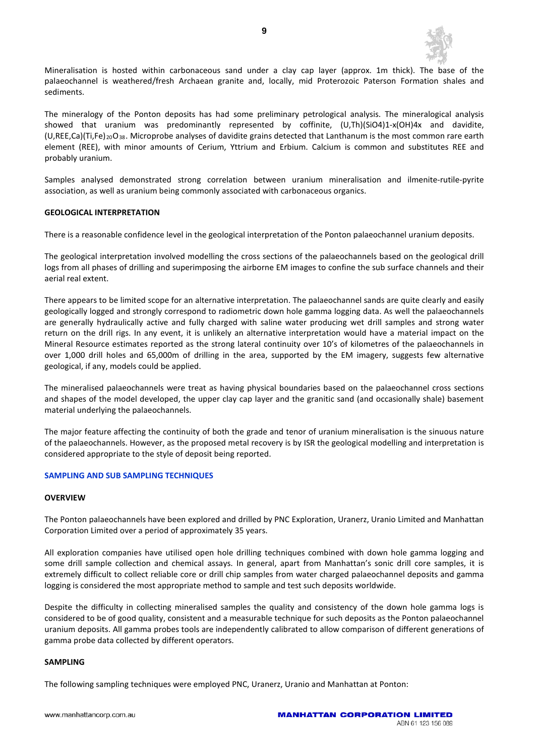

Mineralisation is hosted within carbonaceous sand under a clay cap layer (approx. 1m thick). The base of the palaeochannel is weathered/fresh Archaean granite and, locally, mid Proterozoic Paterson Formation shales and sediments.

The mineralogy of the Ponton deposits has had some preliminary petrological analysis. The mineralogical analysis showed that uranium was predominantly represented by coffinite, (U,Th)(SiO4)1-x(OH)4x and davidite,  $(U,REE, Ca)(Ti, Fe)_{20}O_{38}$ . Microprobe analyses of davidite grains detected that Lanthanum is the most common rare earth element (REE), with minor amounts of Cerium, Yttrium and Erbium. Calcium is common and substitutes REE and probably uranium.

Samples analysed demonstrated strong correlation between uranium mineralisation and ilmenite-rutile-pyrite association, as well as uranium being commonly associated with carbonaceous organics.

#### **GEOLOGICAL INTERPRETATION**

There is a reasonable confidence level in the geological interpretation of the Ponton palaeochannel uranium deposits.

The geological interpretation involved modelling the cross sections of the palaeochannels based on the geological drill logs from all phases of drilling and superimposing the airborne EM images to confine the sub surface channels and their aerial real extent.

There appears to be limited scope for an alternative interpretation. The palaeochannel sands are quite clearly and easily geologically logged and strongly correspond to radiometric down hole gamma logging data. As well the palaeochannels are generally hydraulically active and fully charged with saline water producing wet drill samples and strong water return on the drill rigs. In any event, it is unlikely an alternative interpretation would have a material impact on the Mineral Resource estimates reported as the strong lateral continuity over 10's of kilometres of the palaeochannels in over 1,000 drill holes and 65,000m of drilling in the area, supported by the EM imagery, suggests few alternative geological, if any, models could be applied.

The mineralised palaeochannels were treat as having physical boundaries based on the palaeochannel cross sections and shapes of the model developed, the upper clay cap layer and the granitic sand (and occasionally shale) basement material underlying the palaeochannels.

The major feature affecting the continuity of both the grade and tenor of uranium mineralisation is the sinuous nature of the palaeochannels. However, as the proposed metal recovery is by ISR the geological modelling and interpretation is considered appropriate to the style of deposit being reported.

#### **SAMPLING AND SUB SAMPLING TECHNIQUES**

#### **OVERVIEW**

The Ponton palaeochannels have been explored and drilled by PNC Exploration, Uranerz, Uranio Limited and Manhattan Corporation Limited over a period of approximately 35 years.

All exploration companies have utilised open hole drilling techniques combined with down hole gamma logging and some drill sample collection and chemical assays. In general, apart from Manhattan's sonic drill core samples, it is extremely difficult to collect reliable core or drill chip samples from water charged palaeochannel deposits and gamma logging is considered the most appropriate method to sample and test such deposits worldwide.

Despite the difficulty in collecting mineralised samples the quality and consistency of the down hole gamma logs is considered to be of good quality, consistent and a measurable technique for such deposits as the Ponton palaeochannel uranium deposits. All gamma probes tools are independently calibrated to allow comparison of different generations of gamma probe data collected by different operators.

#### **SAMPLING**

The following sampling techniques were employed PNC, Uranerz, Uranio and Manhattan at Ponton: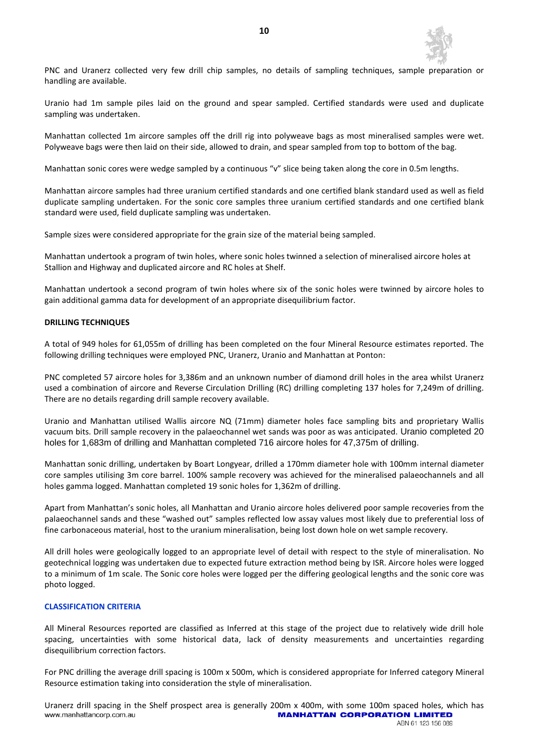

PNC and Uranerz collected very few drill chip samples, no details of sampling techniques, sample preparation or handling are available.

Uranio had 1m sample piles laid on the ground and spear sampled. Certified standards were used and duplicate sampling was undertaken.

Manhattan collected 1m aircore samples off the drill rig into polyweave bags as most mineralised samples were wet. Polyweave bags were then laid on their side, allowed to drain, and spear sampled from top to bottom of the bag.

Manhattan sonic cores were wedge sampled by a continuous "v" slice being taken along the core in 0.5m lengths.

Manhattan aircore samples had three uranium certified standards and one certified blank standard used as well as field duplicate sampling undertaken. For the sonic core samples three uranium certified standards and one certified blank standard were used, field duplicate sampling was undertaken.

Sample sizes were considered appropriate for the grain size of the material being sampled.

Manhattan undertook a program of twin holes, where sonic holes twinned a selection of mineralised aircore holes at Stallion and Highway and duplicated aircore and RC holes at Shelf.

Manhattan undertook a second program of twin holes where six of the sonic holes were twinned by aircore holes to gain additional gamma data for development of an appropriate disequilibrium factor.

#### **DRILLING TECHNIQUES**

A total of 949 holes for 61,055m of drilling has been completed on the four Mineral Resource estimates reported. The following drilling techniques were employed PNC, Uranerz, Uranio and Manhattan at Ponton:

PNC completed 57 aircore holes for 3,386m and an unknown number of diamond drill holes in the area whilst Uranerz used a combination of aircore and Reverse Circulation Drilling (RC) drilling completing 137 holes for 7,249m of drilling. There are no details regarding drill sample recovery available.

Uranio and Manhattan utilised Wallis aircore NQ (71mm) diameter holes face sampling bits and proprietary Wallis vacuum bits. Drill sample recovery in the palaeochannel wet sands was poor as was anticipated. Uranio completed 20 holes for 1,683m of drilling and Manhattan completed 716 aircore holes for 47,375m of drilling.

Manhattan sonic drilling, undertaken by Boart Longyear, drilled a 170mm diameter hole with 100mm internal diameter core samples utilising 3m core barrel. 100% sample recovery was achieved for the mineralised palaeochannels and all holes gamma logged. Manhattan completed 19 sonic holes for 1,362m of drilling.

Apart from Manhattan's sonic holes, all Manhattan and Uranio aircore holes delivered poor sample recoveries from the palaeochannel sands and these "washed out" samples reflected low assay values most likely due to preferential loss of fine carbonaceous material, host to the uranium mineralisation, being lost down hole on wet sample recovery.

All drill holes were geologically logged to an appropriate level of detail with respect to the style of mineralisation. No geotechnical logging was undertaken due to expected future extraction method being by ISR. Aircore holes were logged to a minimum of 1m scale. The Sonic core holes were logged per the differing geological lengths and the sonic core was photo logged.

#### **CLASSIFICATION CRITERIA**

All Mineral Resources reported are classified as Inferred at this stage of the project due to relatively wide drill hole spacing, uncertainties with some historical data, lack of density measurements and uncertainties regarding disequilibrium correction factors.

For PNC drilling the average drill spacing is 100m x 500m, which is considered appropriate for Inferred category Mineral Resource estimation taking into consideration the style of mineralisation.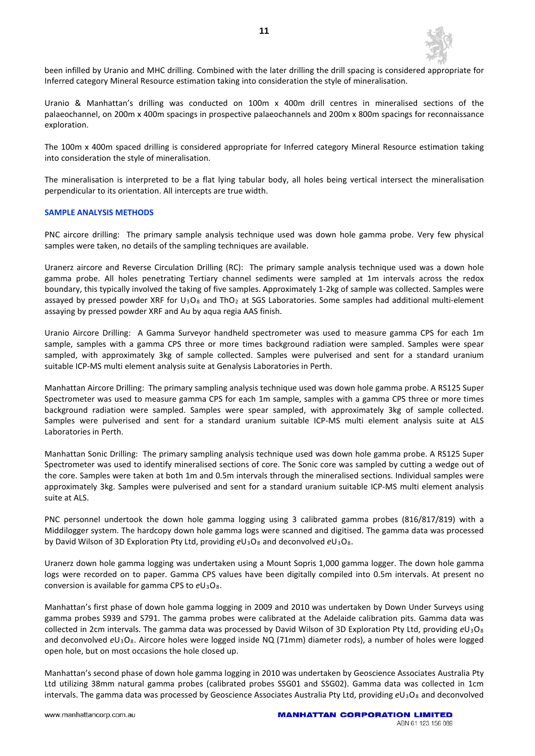

been infilled by Uranio and MHC drilling. Combined with the later drilling the drill spacing is considered appropriate for Inferred category Mineral Resource estimation taking into consideration the style of mineralisation.

Uranio & Manhattan's drilling was conducted on 100m x 400m drill centres in mineralised sections of the palaeochannel, on 200m x 400m spacings in prospective palaeochannels and 200m x 800m spacings for reconnaissance exploration.

The 100m x 400m spaced drilling is considered appropriate for Inferred category Mineral Resource estimation taking into consideration the style of mineralisation.

The mineralisation is interpreted to be a flat lying tabular body, all holes being vertical intersect the mineralisation perpendicular to its orientation. All intercepts are true width.

#### **SAMPLE ANALYSIS METHODS**

PNC aircore drilling: The primary sample analysis technique used was down hole gamma probe. Very few physical samples were taken, no details of the sampling techniques are available.

Uranerz aircore and Reverse Circulation Drilling (RC): The primary sample analysis technique used was a down hole gamma probe. All holes penetrating Tertiary channel sediments were sampled at 1m intervals across the redox boundary, this typically involved the taking of five samples. Approximately 1-2kg of sample was collected. Samples were assayed by pressed powder XRF for  $U_3O_8$  and Th $O_2$  at SGS Laboratories. Some samples had additional multi-element assaying by pressed powder XRF and Au by aqua regia AAS finish.

Uranio Aircore Drilling: A Gamma Surveyor handheld spectrometer was used to measure gamma CPS for each 1m sample, samples with a gamma CPS three or more times background radiation were sampled. Samples were spear sampled, with approximately 3kg of sample collected. Samples were pulverised and sent for a standard uranium suitable ICP-MS multi element analysis suite at Genalysis Laboratories in Perth.

Manhattan Aircore Drilling: The primary sampling analysis technique used was down hole gamma probe. A RS125 Super Spectrometer was used to measure gamma CPS for each 1m sample, samples with a gamma CPS three or more times background radiation were sampled. Samples were spear sampled, with approximately 3kg of sample collected. Samples were pulverised and sent for a standard uranium suitable ICP-MS multi element analysis suite at ALS Laboratories in Perth.

Manhattan Sonic Drilling: The primary sampling analysis technique used was down hole gamma probe. A RS125 Super Spectrometer was used to identify mineralised sections of core. The Sonic core was sampled by cutting a wedge out of the core. Samples were taken at both 1m and 0.5m intervals through the mineralised sections. Individual samples were approximately 3kg. Samples were pulverised and sent for a standard uranium suitable ICP-MS multi element analysis suite at ALS.

PNC personnel undertook the down hole gamma logging using 3 calibrated gamma probes (816/817/819) with a Middilogger system. The hardcopy down hole gamma logs were scanned and digitised. The gamma data was processed by David Wilson of 3D Exploration Pty Ltd, providing  $eU_3O_8$  and deconvolved  $eU_3O_8$ .

Uranerz down hole gamma logging was undertaken using a Mount Sopris 1,000 gamma logger. The down hole gamma logs were recorded on to paper. Gamma CPS values have been digitally compiled into 0.5m intervals. At present no conversion is available for gamma CPS to *e*U3O8.

Manhattan's first phase of down hole gamma logging in 2009 and 2010 was undertaken by Down Under Surveys using gamma probes S939 and S791. The gamma probes were calibrated at the Adelaide calibration pits. Gamma data was collected in 2cm intervals. The gamma data was processed by David Wilson of 3D Exploration Pty Ltd, providing *e*U3O8 and deconvolved eU<sub>3</sub>O<sub>8</sub>. Aircore holes were logged inside NQ (71mm) diameter rods), a number of holes were logged open hole, but on most occasions the hole closed up.

Manhattan's second phase of down hole gamma logging in 2010 was undertaken by Geoscience Associates Australia Pty Ltd utilizing 38mm natural gamma probes (calibrated probes SSG01 and SSG02). Gamma data was collected in 1cm intervals. The gamma data was processed by Geoscience Associates Australia Pty Ltd, providing *e*U3O8 and deconvolved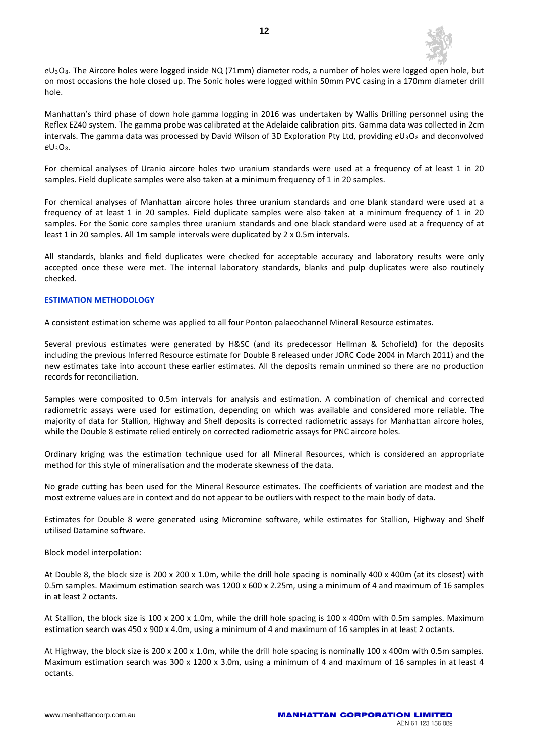

*e*U3O8. The Aircore holes were logged inside NQ (71mm) diameter rods, a number of holes were logged open hole, but on most occasions the hole closed up. The Sonic holes were logged within 50mm PVC casing in a 170mm diameter drill hole.

Manhattan's third phase of down hole gamma logging in 2016 was undertaken by Wallis Drilling personnel using the Reflex EZ40 system. The gamma probe was calibrated at the Adelaide calibration pits. Gamma data was collected in 2cm intervals. The gamma data was processed by David Wilson of 3D Exploration Pty Ltd, providing *e*U3O8 and deconvolved *e*U3O8.

For chemical analyses of Uranio aircore holes two uranium standards were used at a frequency of at least 1 in 20 samples. Field duplicate samples were also taken at a minimum frequency of 1 in 20 samples.

For chemical analyses of Manhattan aircore holes three uranium standards and one blank standard were used at a frequency of at least 1 in 20 samples. Field duplicate samples were also taken at a minimum frequency of 1 in 20 samples. For the Sonic core samples three uranium standards and one black standard were used at a frequency of at least 1 in 20 samples. All 1m sample intervals were duplicated by 2 x 0.5m intervals.

All standards, blanks and field duplicates were checked for acceptable accuracy and laboratory results were only accepted once these were met. The internal laboratory standards, blanks and pulp duplicates were also routinely checked.

#### **ESTIMATION METHODOLOGY**

A consistent estimation scheme was applied to all four Ponton palaeochannel Mineral Resource estimates.

Several previous estimates were generated by H&SC (and its predecessor Hellman & Schofield) for the deposits including the previous Inferred Resource estimate for Double 8 released under JORC Code 2004 in March 2011) and the new estimates take into account these earlier estimates. All the deposits remain unmined so there are no production records for reconciliation.

Samples were composited to 0.5m intervals for analysis and estimation. A combination of chemical and corrected radiometric assays were used for estimation, depending on which was available and considered more reliable. The majority of data for Stallion, Highway and Shelf deposits is corrected radiometric assays for Manhattan aircore holes, while the Double 8 estimate relied entirely on corrected radiometric assays for PNC aircore holes.

Ordinary kriging was the estimation technique used for all Mineral Resources, which is considered an appropriate method for this style of mineralisation and the moderate skewness of the data.

No grade cutting has been used for the Mineral Resource estimates. The coefficients of variation are modest and the most extreme values are in context and do not appear to be outliers with respect to the main body of data.

Estimates for Double 8 were generated using Micromine software, while estimates for Stallion, Highway and Shelf utilised Datamine software.

Block model interpolation:

At Double 8, the block size is 200 x 200 x 1.0m, while the drill hole spacing is nominally 400 x 400m (at its closest) with 0.5m samples. Maximum estimation search was 1200 x 600 x 2.25m, using a minimum of 4 and maximum of 16 samples in at least 2 octants.

At Stallion, the block size is 100 x 200 x 1.0m, while the drill hole spacing is 100 x 400m with 0.5m samples. Maximum estimation search was 450 x 900 x 4.0m, using a minimum of 4 and maximum of 16 samples in at least 2 octants.

At Highway, the block size is 200 x 200 x 1.0m, while the drill hole spacing is nominally 100 x 400m with 0.5m samples. Maximum estimation search was 300 x 1200 x 3.0m, using a minimum of 4 and maximum of 16 samples in at least 4 octants.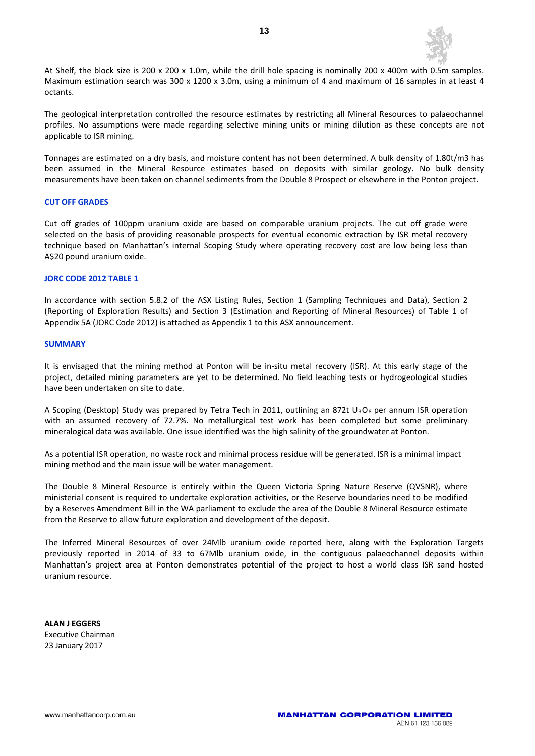

At Shelf, the block size is 200 x 200 x 1.0m, while the drill hole spacing is nominally 200 x 400m with 0.5m samples. Maximum estimation search was 300 x 1200 x 3.0m, using a minimum of 4 and maximum of 16 samples in at least 4 octants.

The geological interpretation controlled the resource estimates by restricting all Mineral Resources to palaeochannel profiles. No assumptions were made regarding selective mining units or mining dilution as these concepts are not applicable to ISR mining.

Tonnages are estimated on a dry basis, and moisture content has not been determined. A bulk density of 1.80t/m3 has been assumed in the Mineral Resource estimates based on deposits with similar geology. No bulk density measurements have been taken on channel sediments from the Double 8 Prospect or elsewhere in the Ponton project.

#### **CUT OFF GRADES**

Cut off grades of 100ppm uranium oxide are based on comparable uranium projects. The cut off grade were selected on the basis of providing reasonable prospects for eventual economic extraction by ISR metal recovery technique based on Manhattan's internal Scoping Study where operating recovery cost are low being less than A\$20 pound uranium oxide.

#### **JORC CODE 2012 TABLE 1**

In accordance with section 5.8.2 of the ASX Listing Rules, Section 1 (Sampling Techniques and Data), Section 2 (Reporting of Exploration Results) and Section 3 (Estimation and Reporting of Mineral Resources) of Table 1 of Appendix 5A (JORC Code 2012) is attached as Appendix 1 to this ASX announcement.

#### **SUMMARY**

It is envisaged that the mining method at Ponton will be in-situ metal recovery (ISR). At this early stage of the project, detailed mining parameters are yet to be determined. No field leaching tests or hydrogeological studies have been undertaken on site to date.

A Scoping (Desktop) Study was prepared by Tetra Tech in 2011, outlining an 872t U<sub>3</sub>O<sub>8</sub> per annum ISR operation with an assumed recovery of 72.7%. No metallurgical test work has been completed but some preliminary mineralogical data was available. One issue identified was the high salinity of the groundwater at Ponton.

As a potential ISR operation, no waste rock and minimal process residue will be generated. ISR is a minimal impact mining method and the main issue will be water management.

The Double 8 Mineral Resource is entirely within the Queen Victoria Spring Nature Reserve (QVSNR), where ministerial consent is required to undertake exploration activities, or the Reserve boundaries need to be modified by a Reserves Amendment Bill in the WA parliament to exclude the area of the Double 8 Mineral Resource estimate from the Reserve to allow future exploration and development of the deposit.

The Inferred Mineral Resources of over 24Mlb uranium oxide reported here, along with the Exploration Targets previously reported in 2014 of 33 to 67Mlb uranium oxide, in the contiguous palaeochannel deposits within Manhattan's project area at Ponton demonstrates potential of the project to host a world class ISR sand hosted uranium resource.

**ALAN J EGGERS** Executive Chairman 23 January 2017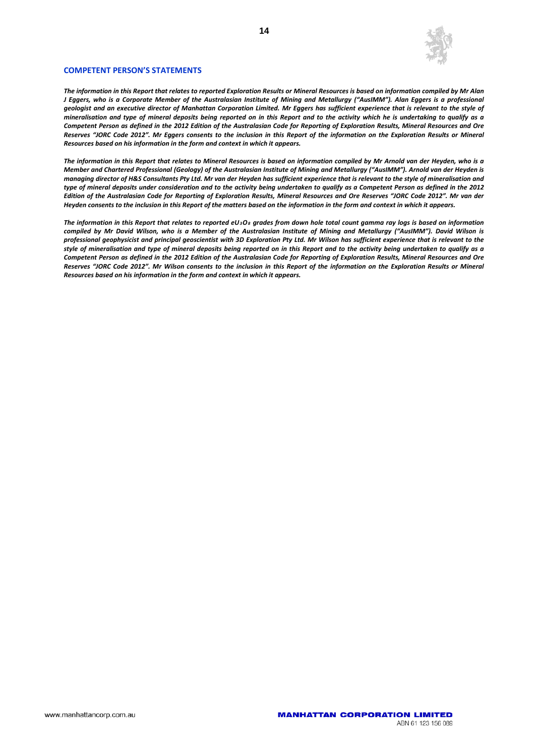

#### **COMPETENT PERSON'S STATEMENTS**

*The information in this Report that relates to reported Exploration Results or Mineral Resources is based on information compiled by Mr Alan J Eggers, who is a Corporate Member of the Australasian Institute of Mining and Metallurgy ("AusIMM"). Alan Eggers is a professional geologist and an executive director of Manhattan Corporation Limited. Mr Eggers has sufficient experience that is relevant to the style of mineralisation and type of mineral deposits being reported on in this Report and to the activity which he is undertaking to qualify as a Competent Person as defined in the 2012 Edition of the Australasian Code for Reporting of Exploration Results, Mineral Resources and Ore Reserves "JORC Code 2012". Mr Eggers consents to the inclusion in this Report of the information on the Exploration Results or Mineral Resources based on his information in the form and context in which it appears.*

*The information in this Report that relates to Mineral Resources is based on information compiled by Mr Arnold van der Heyden, who is a Member and Chartered Professional (Geology) of the Australasian Institute of Mining and Metallurgy ("AusIMM"). Arnold van der Heyden is managing director of H&S Consultants Pty Ltd. Mr van der Heyden has sufficient experience that is relevant to the style of mineralisation and type of mineral deposits under consideration and to the activity being undertaken to qualify as a Competent Person as defined in the 2012 Edition of the Australasian Code for Reporting of Exploration Results, Mineral Resources and Ore Reserves "JORC Code 2012". Mr van der Heyden consents to the inclusion in this Report of the matters based on the information in the form and context in which it appears.*

*The information in this Report that relates to reported eU3O8 grades from down hole total count gamma ray logs is based on information compiled by Mr David Wilson, who is a Member of the Australasian Institute of Mining and Metallurgy ("AusIMM"). David Wilson is professional geophysicist and principal geoscientist with 3D Exploration Pty Ltd. Mr Wilson has sufficient experience that is relevant to the style of mineralisation and type of mineral deposits being reported on in this Report and to the activity being undertaken to qualify as a Competent Person as defined in the 2012 Edition of the Australasian Code for Reporting of Exploration Results, Mineral Resources and Ore Reserves "JORC Code 2012". Mr Wilson consents to the inclusion in this Report of the information on the Exploration Results or Mineral Resources based on his information in the form and context in which it appears.*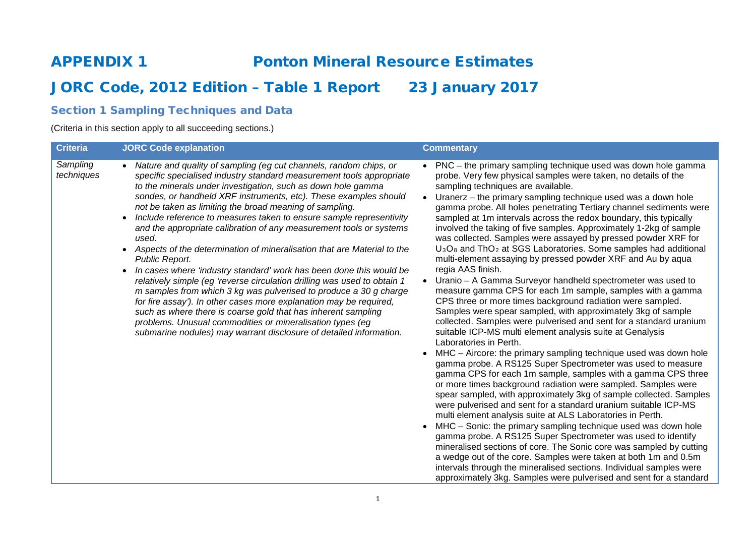# APPENDIX 1 Ponton Mineral Resource Estimates

# JORC Code, 2012 Edition - Table 1 Report 23 January 2017

# Section 1 Sampling Techniques and Data

(Criteria in this section apply to all succeeding sections.)

| <b>Criteria</b>        | <b>JORC Code explanation</b>                                                                                                                                                                                                                                                                                                                                                                                                                                                                                                                                                                                                                                                                                                                                                                                                                                                                                                                                                                                                                                                                                                          | <b>Commentary</b>                                                                                                                                                                                                                                                                                                                                                                                                                                                                                                                                                                                                                                                                                                                                                                                                                                                                                                                                                                                                                                                                                                                                                                                                                                                                                                                                                                                                                                                                                                                                                                                                                                                                                                                                                                                                                                                                                                                                                                                                                                              |
|------------------------|---------------------------------------------------------------------------------------------------------------------------------------------------------------------------------------------------------------------------------------------------------------------------------------------------------------------------------------------------------------------------------------------------------------------------------------------------------------------------------------------------------------------------------------------------------------------------------------------------------------------------------------------------------------------------------------------------------------------------------------------------------------------------------------------------------------------------------------------------------------------------------------------------------------------------------------------------------------------------------------------------------------------------------------------------------------------------------------------------------------------------------------|----------------------------------------------------------------------------------------------------------------------------------------------------------------------------------------------------------------------------------------------------------------------------------------------------------------------------------------------------------------------------------------------------------------------------------------------------------------------------------------------------------------------------------------------------------------------------------------------------------------------------------------------------------------------------------------------------------------------------------------------------------------------------------------------------------------------------------------------------------------------------------------------------------------------------------------------------------------------------------------------------------------------------------------------------------------------------------------------------------------------------------------------------------------------------------------------------------------------------------------------------------------------------------------------------------------------------------------------------------------------------------------------------------------------------------------------------------------------------------------------------------------------------------------------------------------------------------------------------------------------------------------------------------------------------------------------------------------------------------------------------------------------------------------------------------------------------------------------------------------------------------------------------------------------------------------------------------------------------------------------------------------------------------------------------------------|
| Sampling<br>techniques | Nature and quality of sampling (eg cut channels, random chips, or<br>specific specialised industry standard measurement tools appropriate<br>to the minerals under investigation, such as down hole gamma<br>sondes, or handheld XRF instruments, etc). These examples should<br>not be taken as limiting the broad meaning of sampling.<br>Include reference to measures taken to ensure sample representivity<br>$\bullet$<br>and the appropriate calibration of any measurement tools or systems<br>used.<br>Aspects of the determination of mineralisation that are Material to the<br>$\bullet$<br>Public Report.<br>In cases where 'industry standard' work has been done this would be<br>$\bullet$<br>relatively simple (eg 'reverse circulation drilling was used to obtain 1<br>m samples from which 3 kg was pulverised to produce a 30 g charge<br>for fire assay'). In other cases more explanation may be required,<br>such as where there is coarse gold that has inherent sampling<br>problems. Unusual commodities or mineralisation types (eg<br>submarine nodules) may warrant disclosure of detailed information. | • PNC – the primary sampling technique used was down hole gamma<br>probe. Very few physical samples were taken, no details of the<br>sampling techniques are available.<br>Uranerz - the primary sampling technique used was a down hole<br>$\bullet$<br>gamma probe. All holes penetrating Tertiary channel sediments were<br>sampled at 1m intervals across the redox boundary, this typically<br>involved the taking of five samples. Approximately 1-2kg of sample<br>was collected. Samples were assayed by pressed powder XRF for<br>U <sub>3</sub> O <sub>8</sub> and ThO <sub>2</sub> at SGS Laboratories. Some samples had additional<br>multi-element assaying by pressed powder XRF and Au by aqua<br>regia AAS finish.<br>Uranio - A Gamma Surveyor handheld spectrometer was used to<br>measure gamma CPS for each 1m sample, samples with a gamma<br>CPS three or more times background radiation were sampled.<br>Samples were spear sampled, with approximately 3kg of sample<br>collected. Samples were pulverised and sent for a standard uranium<br>suitable ICP-MS multi element analysis suite at Genalysis<br>Laboratories in Perth.<br>MHC - Aircore: the primary sampling technique used was down hole<br>gamma probe. A RS125 Super Spectrometer was used to measure<br>gamma CPS for each 1m sample, samples with a gamma CPS three<br>or more times background radiation were sampled. Samples were<br>spear sampled, with approximately 3kg of sample collected. Samples<br>were pulverised and sent for a standard uranium suitable ICP-MS<br>multi element analysis suite at ALS Laboratories in Perth.<br>MHC – Sonic: the primary sampling technique used was down hole<br>gamma probe. A RS125 Super Spectrometer was used to identify<br>mineralised sections of core. The Sonic core was sampled by cutting<br>a wedge out of the core. Samples were taken at both 1m and 0.5m<br>intervals through the mineralised sections. Individual samples were<br>approximately 3kg. Samples were pulverised and sent for a standard |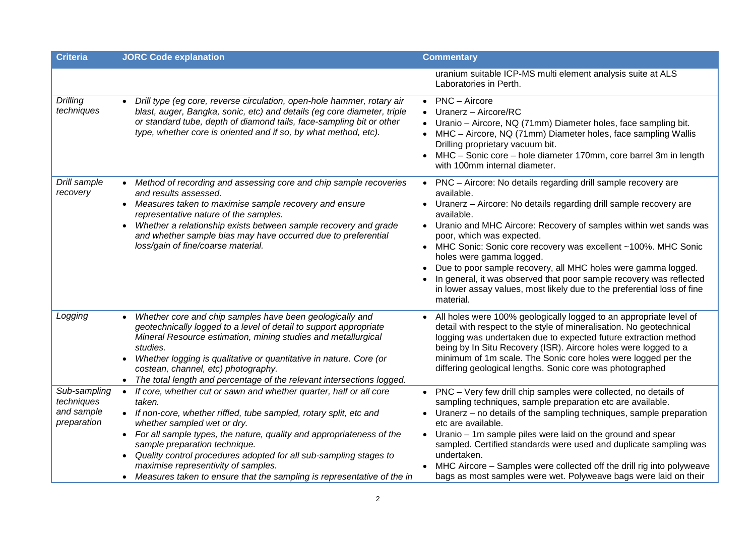| <b>Criteria</b>                                         | <b>JORC Code explanation</b>                                                                                                                                                                                                                                                                                                                                                                                                                                                                                    | <b>Commentary</b>                                                                                                                                                                                                                                                                                                                                                                                                                                                                                                                                                                              |
|---------------------------------------------------------|-----------------------------------------------------------------------------------------------------------------------------------------------------------------------------------------------------------------------------------------------------------------------------------------------------------------------------------------------------------------------------------------------------------------------------------------------------------------------------------------------------------------|------------------------------------------------------------------------------------------------------------------------------------------------------------------------------------------------------------------------------------------------------------------------------------------------------------------------------------------------------------------------------------------------------------------------------------------------------------------------------------------------------------------------------------------------------------------------------------------------|
|                                                         |                                                                                                                                                                                                                                                                                                                                                                                                                                                                                                                 | uranium suitable ICP-MS multi element analysis suite at ALS<br>Laboratories in Perth.                                                                                                                                                                                                                                                                                                                                                                                                                                                                                                          |
| <b>Drilling</b><br>techniques                           | Drill type (eg core, reverse circulation, open-hole hammer, rotary air<br>blast, auger, Bangka, sonic, etc) and details (eg core diameter, triple<br>or standard tube, depth of diamond tails, face-sampling bit or other<br>type, whether core is oriented and if so, by what method, etc).                                                                                                                                                                                                                    | PNC - Aircore<br>Uranerz - Aircore/RC<br>Uranio - Aircore, NQ (71mm) Diameter holes, face sampling bit.<br>MHC - Aircore, NQ (71mm) Diameter holes, face sampling Wallis<br>Drilling proprietary vacuum bit.<br>MHC - Sonic core - hole diameter 170mm, core barrel 3m in length<br>with 100mm internal diameter.                                                                                                                                                                                                                                                                              |
| Drill sample<br>recovery                                | Method of recording and assessing core and chip sample recoveries<br>and results assessed.<br>• Measures taken to maximise sample recovery and ensure<br>representative nature of the samples.<br>Whether a relationship exists between sample recovery and grade<br>$\bullet$<br>and whether sample bias may have occurred due to preferential<br>loss/gain of fine/coarse material.                                                                                                                           | PNC - Aircore: No details regarding drill sample recovery are<br>available.<br>Uranerz - Aircore: No details regarding drill sample recovery are<br>available.<br>• Uranio and MHC Aircore: Recovery of samples within wet sands was<br>poor, which was expected.<br>MHC Sonic: Sonic core recovery was excellent ~100%. MHC Sonic<br>holes were gamma logged.<br>Due to poor sample recovery, all MHC holes were gamma logged.<br>In general, it was observed that poor sample recovery was reflected<br>in lower assay values, most likely due to the preferential loss of fine<br>material. |
| Logging                                                 | Whether core and chip samples have been geologically and<br>$\bullet$<br>geotechnically logged to a level of detail to support appropriate<br>Mineral Resource estimation, mining studies and metallurgical<br>studies.<br>Whether logging is qualitative or quantitative in nature. Core (or<br>costean, channel, etc) photography.<br>The total length and percentage of the relevant intersections logged.                                                                                                   | All holes were 100% geologically logged to an appropriate level of<br>detail with respect to the style of mineralisation. No geotechnical<br>logging was undertaken due to expected future extraction method<br>being by In Situ Recovery (ISR). Aircore holes were logged to a<br>minimum of 1m scale. The Sonic core holes were logged per the<br>differing geological lengths. Sonic core was photographed                                                                                                                                                                                  |
| Sub-sampling<br>techniques<br>and sample<br>preparation | If core, whether cut or sawn and whether quarter, half or all core<br>$\bullet$<br>taken.<br>• If non-core, whether riffled, tube sampled, rotary split, etc and<br>whether sampled wet or dry.<br>• For all sample types, the nature, quality and appropriateness of the<br>sample preparation technique.<br>Quality control procedures adopted for all sub-sampling stages to<br>$\bullet$<br>maximise representivity of samples.<br>• Measures taken to ensure that the sampling is representative of the in | PNC - Very few drill chip samples were collected, no details of<br>sampling techniques, sample preparation etc are available.<br>Uranerz – no details of the sampling techniques, sample preparation<br>etc are available.<br>Uranio – 1m sample piles were laid on the ground and spear<br>sampled. Certified standards were used and duplicate sampling was<br>undertaken.<br>MHC Aircore - Samples were collected off the drill rig into polyweave<br>bags as most samples were wet. Polyweave bags were laid on their                                                                      |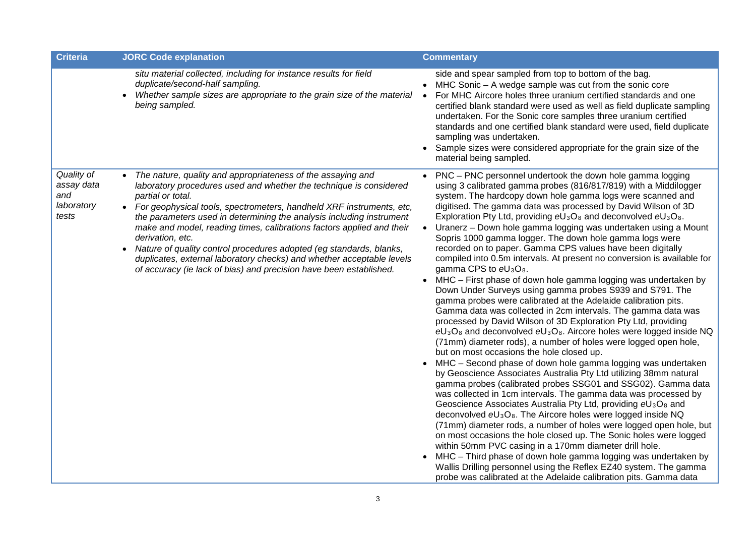| <b>Criteria</b>                                        | <b>JORC Code explanation</b>                                                                                                                                                                                                                                                                                                                                                                                                                                                                                                                                                                                                | <b>Commentary</b>                                                                                                                                                                                                                                                                                                                                                                                                                                                                                                                                                                                                                                                                                                                                                                                                                                                                                                                                                                                                                                                                                                                                                                                                                                                                                                                                                                                                                                                                                                                                                                                                                                                                                                                                                                                                                                                                                                                                                                                                                                                   |
|--------------------------------------------------------|-----------------------------------------------------------------------------------------------------------------------------------------------------------------------------------------------------------------------------------------------------------------------------------------------------------------------------------------------------------------------------------------------------------------------------------------------------------------------------------------------------------------------------------------------------------------------------------------------------------------------------|---------------------------------------------------------------------------------------------------------------------------------------------------------------------------------------------------------------------------------------------------------------------------------------------------------------------------------------------------------------------------------------------------------------------------------------------------------------------------------------------------------------------------------------------------------------------------------------------------------------------------------------------------------------------------------------------------------------------------------------------------------------------------------------------------------------------------------------------------------------------------------------------------------------------------------------------------------------------------------------------------------------------------------------------------------------------------------------------------------------------------------------------------------------------------------------------------------------------------------------------------------------------------------------------------------------------------------------------------------------------------------------------------------------------------------------------------------------------------------------------------------------------------------------------------------------------------------------------------------------------------------------------------------------------------------------------------------------------------------------------------------------------------------------------------------------------------------------------------------------------------------------------------------------------------------------------------------------------------------------------------------------------------------------------------------------------|
|                                                        | situ material collected, including for instance results for field<br>duplicate/second-half sampling.<br>Whether sample sizes are appropriate to the grain size of the material .<br>$\bullet$<br>being sampled.                                                                                                                                                                                                                                                                                                                                                                                                             | side and spear sampled from top to bottom of the bag.<br>• MHC Sonic - A wedge sample was cut from the sonic core<br>For MHC Aircore holes three uranium certified standards and one<br>certified blank standard were used as well as field duplicate sampling<br>undertaken. For the Sonic core samples three uranium certified<br>standards and one certified blank standard were used, field duplicate<br>sampling was undertaken.<br>Sample sizes were considered appropriate for the grain size of the<br>material being sampled.                                                                                                                                                                                                                                                                                                                                                                                                                                                                                                                                                                                                                                                                                                                                                                                                                                                                                                                                                                                                                                                                                                                                                                                                                                                                                                                                                                                                                                                                                                                              |
| Quality of<br>assay data<br>and<br>laboratory<br>tests | The nature, quality and appropriateness of the assaying and<br>laboratory procedures used and whether the technique is considered<br>partial or total.<br>• For geophysical tools, spectrometers, handheld XRF instruments, etc,<br>the parameters used in determining the analysis including instrument<br>make and model, reading times, calibrations factors applied and their<br>derivation, etc.<br>Nature of quality control procedures adopted (eg standards, blanks,<br>duplicates, external laboratory checks) and whether acceptable levels<br>of accuracy (ie lack of bias) and precision have been established. | • PNC – PNC personnel undertook the down hole gamma logging<br>using 3 calibrated gamma probes (816/817/819) with a Middilogger<br>system. The hardcopy down hole gamma logs were scanned and<br>digitised. The gamma data was processed by David Wilson of 3D<br>Exploration Pty Ltd, providing $eU_3O_8$ and deconvolved $eU_3O_8$ .<br>Uranerz – Down hole gamma logging was undertaken using a Mount<br>$\bullet$<br>Sopris 1000 gamma logger. The down hole gamma logs were<br>recorded on to paper. Gamma CPS values have been digitally<br>compiled into 0.5m intervals. At present no conversion is available for<br>gamma CPS to eU <sub>3</sub> O <sub>8</sub> .<br>MHC - First phase of down hole gamma logging was undertaken by<br>Down Under Surveys using gamma probes S939 and S791. The<br>gamma probes were calibrated at the Adelaide calibration pits.<br>Gamma data was collected in 2cm intervals. The gamma data was<br>processed by David Wilson of 3D Exploration Pty Ltd, providing<br>$eU_3O_8$ and deconvolved $eU_3O_8$ . Aircore holes were logged inside NQ<br>(71mm) diameter rods), a number of holes were logged open hole,<br>but on most occasions the hole closed up.<br>• MHC - Second phase of down hole gamma logging was undertaken<br>by Geoscience Associates Australia Pty Ltd utilizing 38mm natural<br>gamma probes (calibrated probes SSG01 and SSG02). Gamma data<br>was collected in 1cm intervals. The gamma data was processed by<br>Geoscience Associates Australia Pty Ltd, providing eU <sub>3</sub> O <sub>8</sub> and<br>deconvolved $eU_3O_8$ . The Aircore holes were logged inside NQ<br>(71mm) diameter rods, a number of holes were logged open hole, but<br>on most occasions the hole closed up. The Sonic holes were logged<br>within 50mm PVC casing in a 170mm diameter drill hole.<br>• MHC - Third phase of down hole gamma logging was undertaken by<br>Wallis Drilling personnel using the Reflex EZ40 system. The gamma<br>probe was calibrated at the Adelaide calibration pits. Gamma data |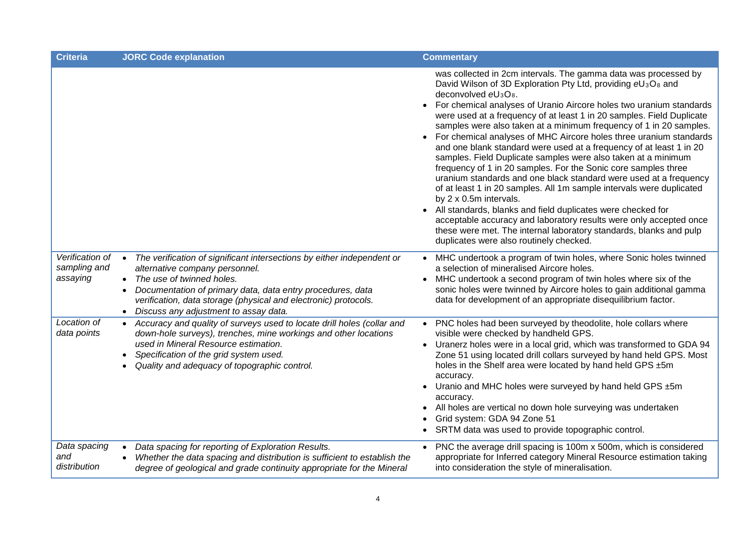| <b>Criteria</b>                             | <b>JORC Code explanation</b>                                                                                                                                                                                                                                                                                                     | <b>Commentary</b>                                                                                                                                                                                                                                                                                                                                                                                                                                                                                                                                                                                                                                                                                                                                                                                                                                                                                                                                                                                                                                                                                                                                       |
|---------------------------------------------|----------------------------------------------------------------------------------------------------------------------------------------------------------------------------------------------------------------------------------------------------------------------------------------------------------------------------------|---------------------------------------------------------------------------------------------------------------------------------------------------------------------------------------------------------------------------------------------------------------------------------------------------------------------------------------------------------------------------------------------------------------------------------------------------------------------------------------------------------------------------------------------------------------------------------------------------------------------------------------------------------------------------------------------------------------------------------------------------------------------------------------------------------------------------------------------------------------------------------------------------------------------------------------------------------------------------------------------------------------------------------------------------------------------------------------------------------------------------------------------------------|
|                                             |                                                                                                                                                                                                                                                                                                                                  | was collected in 2cm intervals. The gamma data was processed by<br>David Wilson of 3D Exploration Pty Ltd, providing eU <sub>3</sub> O <sub>8</sub> and<br>deconvolved eU <sub>3</sub> O <sub>8</sub> .<br>For chemical analyses of Uranio Aircore holes two uranium standards<br>$\bullet$<br>were used at a frequency of at least 1 in 20 samples. Field Duplicate<br>samples were also taken at a minimum frequency of 1 in 20 samples.<br>For chemical analyses of MHC Aircore holes three uranium standards<br>and one blank standard were used at a frequency of at least 1 in 20<br>samples. Field Duplicate samples were also taken at a minimum<br>frequency of 1 in 20 samples. For the Sonic core samples three<br>uranium standards and one black standard were used at a frequency<br>of at least 1 in 20 samples. All 1m sample intervals were duplicated<br>by 2 x 0.5m intervals.<br>All standards, blanks and field duplicates were checked for<br>acceptable accuracy and laboratory results were only accepted once<br>these were met. The internal laboratory standards, blanks and pulp<br>duplicates were also routinely checked. |
| Verification of<br>sampling and<br>assaying | The verification of significant intersections by either independent or<br>$\bullet$<br>alternative company personnel.<br>• The use of twinned holes.<br>Documentation of primary data, data entry procedures, data<br>verification, data storage (physical and electronic) protocols.<br>• Discuss any adjustment to assay data. | • MHC undertook a program of twin holes, where Sonic holes twinned<br>a selection of mineralised Aircore holes.<br>MHC undertook a second program of twin holes where six of the<br>sonic holes were twinned by Aircore holes to gain additional gamma<br>data for development of an appropriate disequilibrium factor.                                                                                                                                                                                                                                                                                                                                                                                                                                                                                                                                                                                                                                                                                                                                                                                                                                 |
| Location of<br>data points                  | Accuracy and quality of surveys used to locate drill holes (collar and<br>down-hole surveys), trenches, mine workings and other locations<br>used in Mineral Resource estimation.<br>Specification of the grid system used.<br>Quality and adequacy of topographic control.                                                      | • PNC holes had been surveyed by theodolite, hole collars where<br>visible were checked by handheld GPS.<br>• Uranerz holes were in a local grid, which was transformed to GDA 94<br>Zone 51 using located drill collars surveyed by hand held GPS. Most<br>holes in the Shelf area were located by hand held GPS ±5m<br>accuracy.<br>• Uranio and MHC holes were surveyed by hand held GPS ±5m<br>accuracy.<br>• All holes are vertical no down hole surveying was undertaken<br>Grid system: GDA 94 Zone 51<br>• SRTM data was used to provide topographic control.                                                                                                                                                                                                                                                                                                                                                                                                                                                                                                                                                                                   |
| Data spacing<br>and<br>distribution         | Data spacing for reporting of Exploration Results.<br>$\bullet$<br>Whether the data spacing and distribution is sufficient to establish the<br>degree of geological and grade continuity appropriate for the Mineral                                                                                                             | PNC the average drill spacing is 100m x 500m, which is considered<br>$\bullet$<br>appropriate for Inferred category Mineral Resource estimation taking<br>into consideration the style of mineralisation.                                                                                                                                                                                                                                                                                                                                                                                                                                                                                                                                                                                                                                                                                                                                                                                                                                                                                                                                               |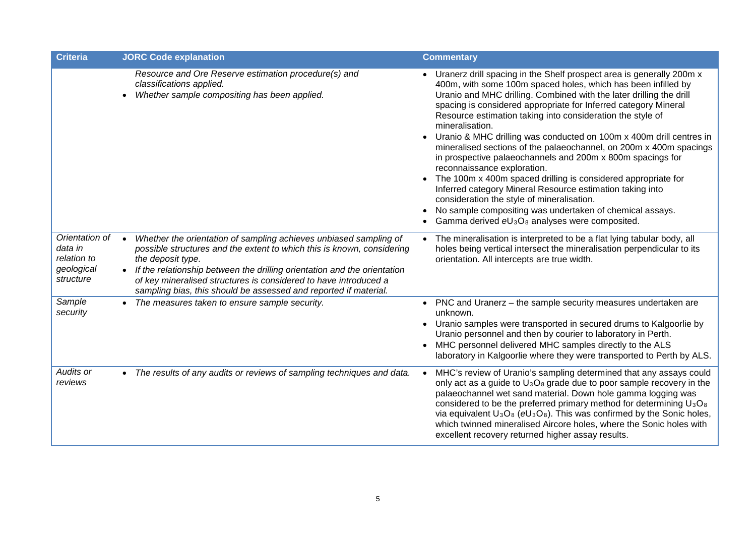| <b>Criteria</b>                                                     | <b>JORC Code explanation</b>                                                                                                                                                                                                                                                                                                                                                                                   | <b>Commentary</b>                                                                                                                                                                                                                                                                                                                                                                                                                                                                                                                                                                                                                                                                                                                                                                                                                                                                                           |
|---------------------------------------------------------------------|----------------------------------------------------------------------------------------------------------------------------------------------------------------------------------------------------------------------------------------------------------------------------------------------------------------------------------------------------------------------------------------------------------------|-------------------------------------------------------------------------------------------------------------------------------------------------------------------------------------------------------------------------------------------------------------------------------------------------------------------------------------------------------------------------------------------------------------------------------------------------------------------------------------------------------------------------------------------------------------------------------------------------------------------------------------------------------------------------------------------------------------------------------------------------------------------------------------------------------------------------------------------------------------------------------------------------------------|
|                                                                     | Resource and Ore Reserve estimation procedure(s) and<br>classifications applied.<br>Whether sample compositing has been applied.                                                                                                                                                                                                                                                                               | • Uranerz drill spacing in the Shelf prospect area is generally 200m x<br>400m, with some 100m spaced holes, which has been infilled by<br>Uranio and MHC drilling. Combined with the later drilling the drill<br>spacing is considered appropriate for Inferred category Mineral<br>Resource estimation taking into consideration the style of<br>mineralisation.<br>Uranio & MHC drilling was conducted on 100m x 400m drill centres in<br>mineralised sections of the palaeochannel, on 200m x 400m spacings<br>in prospective palaeochannels and 200m x 800m spacings for<br>reconnaissance exploration.<br>• The 100m x 400m spaced drilling is considered appropriate for<br>Inferred category Mineral Resource estimation taking into<br>consideration the style of mineralisation.<br>No sample compositing was undertaken of chemical assays.<br>Gamma derived $eU_3O_8$ analyses were composited. |
| Orientation of<br>data in<br>relation to<br>geological<br>structure | Whether the orientation of sampling achieves unbiased sampling of<br>$\bullet$<br>possible structures and the extent to which this is known, considering<br>the deposit type.<br>If the relationship between the drilling orientation and the orientation<br>$\bullet$<br>of key mineralised structures is considered to have introduced a<br>sampling bias, this should be assessed and reported if material. | • The mineralisation is interpreted to be a flat lying tabular body, all<br>holes being vertical intersect the mineralisation perpendicular to its<br>orientation. All intercepts are true width.                                                                                                                                                                                                                                                                                                                                                                                                                                                                                                                                                                                                                                                                                                           |
| Sample<br>security                                                  | The measures taken to ensure sample security.                                                                                                                                                                                                                                                                                                                                                                  | • PNC and Uranerz - the sample security measures undertaken are<br>unknown.<br>• Uranio samples were transported in secured drums to Kalgoorlie by<br>Uranio personnel and then by courier to laboratory in Perth.<br>MHC personnel delivered MHC samples directly to the ALS<br>laboratory in Kalgoorlie where they were transported to Perth by ALS.                                                                                                                                                                                                                                                                                                                                                                                                                                                                                                                                                      |
| Audits or<br>reviews                                                | • The results of any audits or reviews of sampling techniques and data.                                                                                                                                                                                                                                                                                                                                        | MHC's review of Uranio's sampling determined that any assays could<br>only act as a guide to $U_3O_8$ grade due to poor sample recovery in the<br>palaeochannel wet sand material. Down hole gamma logging was<br>considered to be the preferred primary method for determining U <sub>3</sub> O <sub>8</sub><br>via equivalent $U_3O_8$ (eU <sub>3</sub> O <sub>8</sub> ). This was confirmed by the Sonic holes,<br>which twinned mineralised Aircore holes, where the Sonic holes with<br>excellent recovery returned higher assay results.                                                                                                                                                                                                                                                                                                                                                              |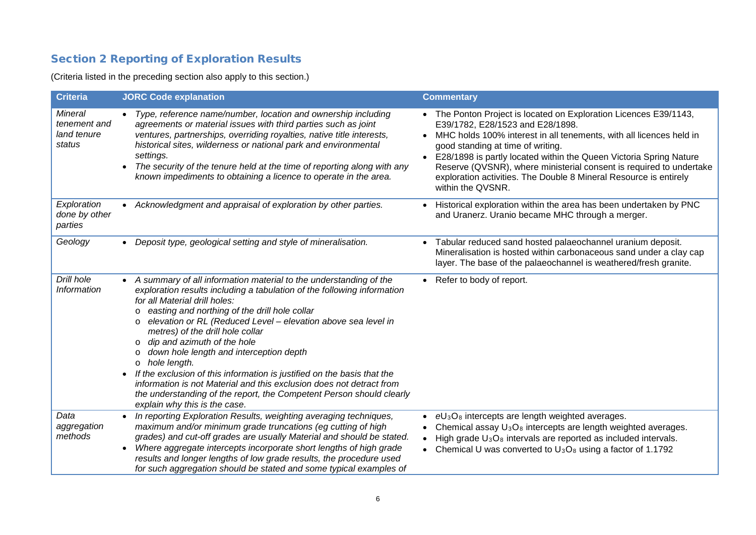# Section 2 Reporting of Exploration Results

(Criteria listed in the preceding section also apply to this section.)

| <b>Criteria</b>                                  | <b>JORC Code explanation</b>                                                                                                                                                                                                                                                                                                                                                                                                                                                                                                                                                                                                                                                                                                                                   | <b>Commentary</b>                                                                                                                                                                                                                                                                                                                                                                                                                                                     |
|--------------------------------------------------|----------------------------------------------------------------------------------------------------------------------------------------------------------------------------------------------------------------------------------------------------------------------------------------------------------------------------------------------------------------------------------------------------------------------------------------------------------------------------------------------------------------------------------------------------------------------------------------------------------------------------------------------------------------------------------------------------------------------------------------------------------------|-----------------------------------------------------------------------------------------------------------------------------------------------------------------------------------------------------------------------------------------------------------------------------------------------------------------------------------------------------------------------------------------------------------------------------------------------------------------------|
| Mineral<br>tenement and<br>land tenure<br>status | Type, reference name/number, location and ownership including<br>agreements or material issues with third parties such as joint<br>ventures, partnerships, overriding royalties, native title interests,<br>historical sites, wilderness or national park and environmental<br>settings.<br>The security of the tenure held at the time of reporting along with any<br>$\bullet$<br>known impediments to obtaining a licence to operate in the area.                                                                                                                                                                                                                                                                                                           | • The Ponton Project is located on Exploration Licences E39/1143,<br>E39/1782, E28/1523 and E28/1898.<br>MHC holds 100% interest in all tenements, with all licences held in<br>$\bullet$<br>good standing at time of writing.<br>E28/1898 is partly located within the Queen Victoria Spring Nature<br>Reserve (QVSNR), where ministerial consent is required to undertake<br>exploration activities. The Double 8 Mineral Resource is entirely<br>within the QVSNR. |
| Exploration<br>done by other<br>parties          | Acknowledgment and appraisal of exploration by other parties.<br>$\bullet$                                                                                                                                                                                                                                                                                                                                                                                                                                                                                                                                                                                                                                                                                     | Historical exploration within the area has been undertaken by PNC<br>and Uranerz. Uranio became MHC through a merger.                                                                                                                                                                                                                                                                                                                                                 |
| Geology                                          | Deposit type, geological setting and style of mineralisation.                                                                                                                                                                                                                                                                                                                                                                                                                                                                                                                                                                                                                                                                                                  | Tabular reduced sand hosted palaeochannel uranium deposit.<br>Mineralisation is hosted within carbonaceous sand under a clay cap<br>layer. The base of the palaeochannel is weathered/fresh granite.                                                                                                                                                                                                                                                                  |
| Drill hole<br><b>Information</b>                 | A summary of all information material to the understanding of the<br>exploration results including a tabulation of the following information<br>for all Material drill holes:<br>easting and northing of the drill hole collar<br>$\circ$<br>elevation or RL (Reduced Level - elevation above sea level in<br>$\circ$<br>metres) of the drill hole collar<br>dip and azimuth of the hole<br>$\circ$<br>down hole length and interception depth<br>$\Omega$<br>hole length.<br>$\circ$<br>If the exclusion of this information is justified on the basis that the<br>$\bullet$<br>information is not Material and this exclusion does not detract from<br>the understanding of the report, the Competent Person should clearly<br>explain why this is the case. | Refer to body of report.                                                                                                                                                                                                                                                                                                                                                                                                                                              |
| Data<br>aggregation<br>methods                   | In reporting Exploration Results, weighting averaging techniques,<br>$\bullet$<br>maximum and/or minimum grade truncations (eg cutting of high<br>grades) and cut-off grades are usually Material and should be stated.<br>Where aggregate intercepts incorporate short lengths of high grade<br>$\bullet$<br>results and longer lengths of low grade results, the procedure used<br>for such aggregation should be stated and some typical examples of                                                                                                                                                                                                                                                                                                        | $eU_3O_8$ intercepts are length weighted averages.<br>$\bullet$<br>• Chemical assay $U_3O_8$ intercepts are length weighted averages.<br>High grade $U_3O_8$ intervals are reported as included intervals.<br>• Chemical U was converted to $U_3O_8$ using a factor of 1.1792                                                                                                                                                                                         |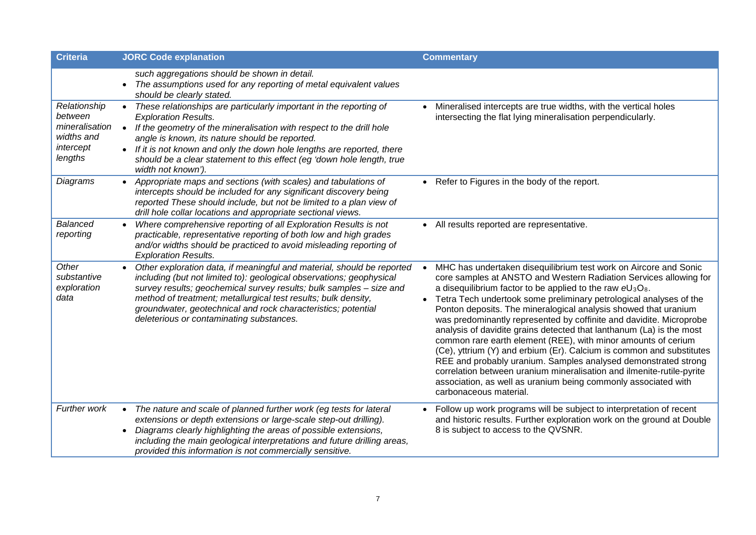| <b>Criteria</b>                                                                 | <b>JORC Code explanation</b>                                                                                                                                                                                                                                                                                                                                                                                        | <b>Commentary</b>                                                                                                                                                                                                                                                                                                                                                                                                                                                                                                                                                                                                                                                                                                                                                                                                                                                             |
|---------------------------------------------------------------------------------|---------------------------------------------------------------------------------------------------------------------------------------------------------------------------------------------------------------------------------------------------------------------------------------------------------------------------------------------------------------------------------------------------------------------|-------------------------------------------------------------------------------------------------------------------------------------------------------------------------------------------------------------------------------------------------------------------------------------------------------------------------------------------------------------------------------------------------------------------------------------------------------------------------------------------------------------------------------------------------------------------------------------------------------------------------------------------------------------------------------------------------------------------------------------------------------------------------------------------------------------------------------------------------------------------------------|
|                                                                                 | such aggregations should be shown in detail.<br>The assumptions used for any reporting of metal equivalent values<br>$\bullet$<br>should be clearly stated.                                                                                                                                                                                                                                                         |                                                                                                                                                                                                                                                                                                                                                                                                                                                                                                                                                                                                                                                                                                                                                                                                                                                                               |
| Relationship<br>between<br>mineralisation<br>widths and<br>intercept<br>lengths | These relationships are particularly important in the reporting of<br><b>Exploration Results.</b><br>If the geometry of the mineralisation with respect to the drill hole<br>$\bullet$<br>angle is known, its nature should be reported.<br>• If it is not known and only the down hole lengths are reported, there<br>should be a clear statement to this effect (eg 'down hole length, true<br>width not known'). | Mineralised intercepts are true widths, with the vertical holes<br>intersecting the flat lying mineralisation perpendicularly.                                                                                                                                                                                                                                                                                                                                                                                                                                                                                                                                                                                                                                                                                                                                                |
| Diagrams                                                                        | Appropriate maps and sections (with scales) and tabulations of<br>intercepts should be included for any significant discovery being<br>reported These should include, but not be limited to a plan view of<br>drill hole collar locations and appropriate sectional views.                                                                                                                                          | • Refer to Figures in the body of the report.                                                                                                                                                                                                                                                                                                                                                                                                                                                                                                                                                                                                                                                                                                                                                                                                                                 |
| <b>Balanced</b><br>reporting                                                    | Where comprehensive reporting of all Exploration Results is not<br>$\bullet$<br>practicable, representative reporting of both low and high grades<br>and/or widths should be practiced to avoid misleading reporting of<br><b>Exploration Results.</b>                                                                                                                                                              | • All results reported are representative.                                                                                                                                                                                                                                                                                                                                                                                                                                                                                                                                                                                                                                                                                                                                                                                                                                    |
| Other<br>substantive<br>exploration<br>data                                     | Other exploration data, if meaningful and material, should be reported<br>including (but not limited to): geological observations; geophysical<br>survey results; geochemical survey results; bulk samples - size and<br>method of treatment; metallurgical test results; bulk density,<br>groundwater, geotechnical and rock characteristics; potential<br>deleterious or contaminating substances.                | MHC has undertaken disequilibrium test work on Aircore and Sonic<br>core samples at ANSTO and Western Radiation Services allowing for<br>a disequilibrium factor to be applied to the raw $eU_3O_8$ .<br>Tetra Tech undertook some preliminary petrological analyses of the<br>Ponton deposits. The mineralogical analysis showed that uranium<br>was predominantly represented by coffinite and davidite. Microprobe<br>analysis of davidite grains detected that lanthanum (La) is the most<br>common rare earth element (REE), with minor amounts of cerium<br>(Ce), yttrium (Y) and erbium (Er). Calcium is common and substitutes<br>REE and probably uranium. Samples analysed demonstrated strong<br>correlation between uranium mineralisation and ilmenite-rutile-pyrite<br>association, as well as uranium being commonly associated with<br>carbonaceous material. |
| Further work                                                                    | The nature and scale of planned further work (eg tests for lateral<br>$\bullet$<br>extensions or depth extensions or large-scale step-out drilling).<br>Diagrams clearly highlighting the areas of possible extensions,<br>$\bullet$<br>including the main geological interpretations and future drilling areas,<br>provided this information is not commercially sensitive.                                        | Follow up work programs will be subject to interpretation of recent<br>and historic results. Further exploration work on the ground at Double<br>8 is subject to access to the QVSNR.                                                                                                                                                                                                                                                                                                                                                                                                                                                                                                                                                                                                                                                                                         |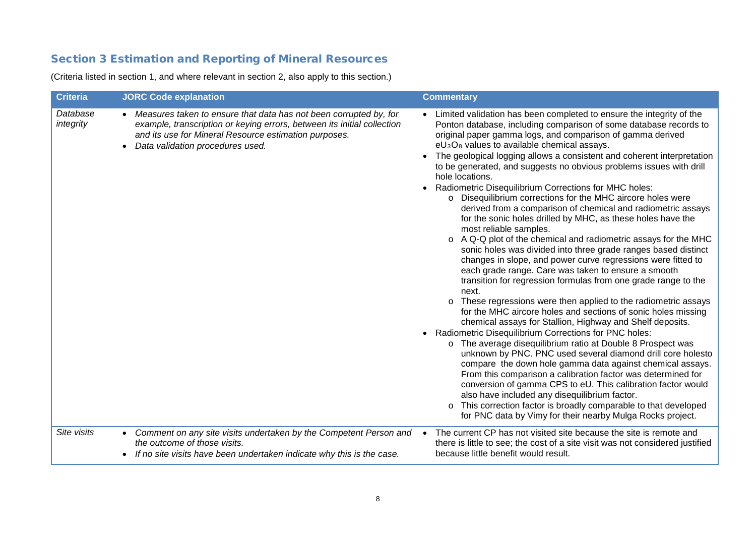## Section 3 Estimation and Reporting of Mineral Resources

(Criteria listed in section 1, and where relevant in section 2, also apply to this section.)

| <b>Criteria</b>       | <b>JORC Code explanation</b>                                                                                                                                                                                                                             | <b>Commentary</b>                                                                                                                                                                                                                                                                                                                                                                                                                                                                                                                                                                                                                                                                                                                                                                                                                                                                                                                                                                                                                                                                                                                                                                                                                                                                                                                                                                                                                                                                                                                                                                                                                                                                                                                                                                                                                   |
|-----------------------|----------------------------------------------------------------------------------------------------------------------------------------------------------------------------------------------------------------------------------------------------------|-------------------------------------------------------------------------------------------------------------------------------------------------------------------------------------------------------------------------------------------------------------------------------------------------------------------------------------------------------------------------------------------------------------------------------------------------------------------------------------------------------------------------------------------------------------------------------------------------------------------------------------------------------------------------------------------------------------------------------------------------------------------------------------------------------------------------------------------------------------------------------------------------------------------------------------------------------------------------------------------------------------------------------------------------------------------------------------------------------------------------------------------------------------------------------------------------------------------------------------------------------------------------------------------------------------------------------------------------------------------------------------------------------------------------------------------------------------------------------------------------------------------------------------------------------------------------------------------------------------------------------------------------------------------------------------------------------------------------------------------------------------------------------------------------------------------------------------|
| Database<br>integrity | • Measures taken to ensure that data has not been corrupted by, for<br>example, transcription or keying errors, between its initial collection<br>and its use for Mineral Resource estimation purposes.<br>Data validation procedures used.<br>$\bullet$ | • Limited validation has been completed to ensure the integrity of the<br>Ponton database, including comparison of some database records to<br>original paper gamma logs, and comparison of gamma derived<br>$eU_3O_8$ values to available chemical assays.<br>The geological logging allows a consistent and coherent interpretation<br>to be generated, and suggests no obvious problems issues with drill<br>hole locations.<br>• Radiometric Disequilibrium Corrections for MHC holes:<br>o Disequilibrium corrections for the MHC aircore holes were<br>derived from a comparison of chemical and radiometric assays<br>for the sonic holes drilled by MHC, as these holes have the<br>most reliable samples.<br>o A Q-Q plot of the chemical and radiometric assays for the MHC<br>sonic holes was divided into three grade ranges based distinct<br>changes in slope, and power curve regressions were fitted to<br>each grade range. Care was taken to ensure a smooth<br>transition for regression formulas from one grade range to the<br>next.<br>o These regressions were then applied to the radiometric assays<br>for the MHC aircore holes and sections of sonic holes missing<br>chemical assays for Stallion, Highway and Shelf deposits.<br>• Radiometric Disequilibrium Corrections for PNC holes:<br>o The average disequilibrium ratio at Double 8 Prospect was<br>unknown by PNC. PNC used several diamond drill core holesto<br>compare the down hole gamma data against chemical assays.<br>From this comparison a calibration factor was determined for<br>conversion of gamma CPS to eU. This calibration factor would<br>also have included any disequilibrium factor.<br>o This correction factor is broadly comparable to that developed<br>for PNC data by Vimy for their nearby Mulga Rocks project. |
| Site visits           | Comment on any site visits undertaken by the Competent Person and<br>the outcome of those visits.<br>If no site visits have been undertaken indicate why this is the case.                                                                               | The current CP has not visited site because the site is remote and<br>$\bullet$<br>there is little to see; the cost of a site visit was not considered justified<br>because little benefit would result.                                                                                                                                                                                                                                                                                                                                                                                                                                                                                                                                                                                                                                                                                                                                                                                                                                                                                                                                                                                                                                                                                                                                                                                                                                                                                                                                                                                                                                                                                                                                                                                                                            |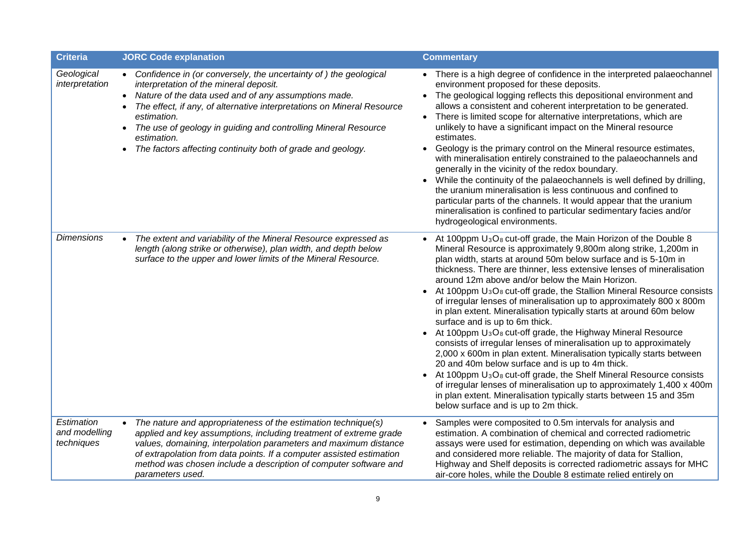| <b>Criteria</b>                           | <b>JORC Code explanation</b>                                                                                                                                                                                                                                                                                                                                                                                                 | <b>Commentary</b>                                                                                                                                                                                                                                                                                                                                                                                                                                                                                                                                                                                                                                                                                                                                                                                                                                                                                                                                                                                                                                                                                                                                                               |
|-------------------------------------------|------------------------------------------------------------------------------------------------------------------------------------------------------------------------------------------------------------------------------------------------------------------------------------------------------------------------------------------------------------------------------------------------------------------------------|---------------------------------------------------------------------------------------------------------------------------------------------------------------------------------------------------------------------------------------------------------------------------------------------------------------------------------------------------------------------------------------------------------------------------------------------------------------------------------------------------------------------------------------------------------------------------------------------------------------------------------------------------------------------------------------------------------------------------------------------------------------------------------------------------------------------------------------------------------------------------------------------------------------------------------------------------------------------------------------------------------------------------------------------------------------------------------------------------------------------------------------------------------------------------------|
| Geological<br>interpretation              | • Confidence in (or conversely, the uncertainty of) the geological<br>interpretation of the mineral deposit.<br>• Nature of the data used and of any assumptions made.<br>The effect, if any, of alternative interpretations on Mineral Resource<br>estimation.<br>The use of geology in guiding and controlling Mineral Resource<br>$\bullet$<br>estimation.<br>The factors affecting continuity both of grade and geology. | • There is a high degree of confidence in the interpreted palaeochannel<br>environment proposed for these deposits.<br>The geological logging reflects this depositional environment and<br>allows a consistent and coherent interpretation to be generated.<br>• There is limited scope for alternative interpretations, which are<br>unlikely to have a significant impact on the Mineral resource<br>estimates.<br>Geology is the primary control on the Mineral resource estimates,<br>with mineralisation entirely constrained to the palaeochannels and<br>generally in the vicinity of the redox boundary.<br>While the continuity of the palaeochannels is well defined by drilling,<br>the uranium mineralisation is less continuous and confined to<br>particular parts of the channels. It would appear that the uranium<br>mineralisation is confined to particular sedimentary facies and/or<br>hydrogeological environments.                                                                                                                                                                                                                                      |
| <b>Dimensions</b>                         | The extent and variability of the Mineral Resource expressed as<br>length (along strike or otherwise), plan width, and depth below<br>surface to the upper and lower limits of the Mineral Resource.                                                                                                                                                                                                                         | At 100ppm $U_3O_8$ cut-off grade, the Main Horizon of the Double 8<br>Mineral Resource is approximately 9,800m along strike, 1,200m in<br>plan width, starts at around 50m below surface and is 5-10m in<br>thickness. There are thinner, less extensive lenses of mineralisation<br>around 12m above and/or below the Main Horizon.<br>At 100ppm U <sub>3</sub> O <sub>8</sub> cut-off grade, the Stallion Mineral Resource consists<br>of irregular lenses of mineralisation up to approximately 800 x 800m<br>in plan extent. Mineralisation typically starts at around 60m below<br>surface and is up to 6m thick.<br>At 100ppm U <sub>3</sub> O <sub>8</sub> cut-off grade, the Highway Mineral Resource<br>consists of irregular lenses of mineralisation up to approximately<br>2,000 x 600m in plan extent. Mineralisation typically starts between<br>20 and 40m below surface and is up to 4m thick.<br>At 100ppm $U_3O_8$ cut-off grade, the Shelf Mineral Resource consists<br>of irregular lenses of mineralisation up to approximately 1,400 x 400m<br>in plan extent. Mineralisation typically starts between 15 and 35m<br>below surface and is up to 2m thick. |
| Estimation<br>and modelling<br>techniques | The nature and appropriateness of the estimation technique(s)<br>$\bullet$<br>applied and key assumptions, including treatment of extreme grade<br>values, domaining, interpolation parameters and maximum distance<br>of extrapolation from data points. If a computer assisted estimation<br>method was chosen include a description of computer software and<br>parameters used.                                          | Samples were composited to 0.5m intervals for analysis and<br>estimation. A combination of chemical and corrected radiometric<br>assays were used for estimation, depending on which was available<br>and considered more reliable. The majority of data for Stallion,<br>Highway and Shelf deposits is corrected radiometric assays for MHC<br>air-core holes, while the Double 8 estimate relied entirely on                                                                                                                                                                                                                                                                                                                                                                                                                                                                                                                                                                                                                                                                                                                                                                  |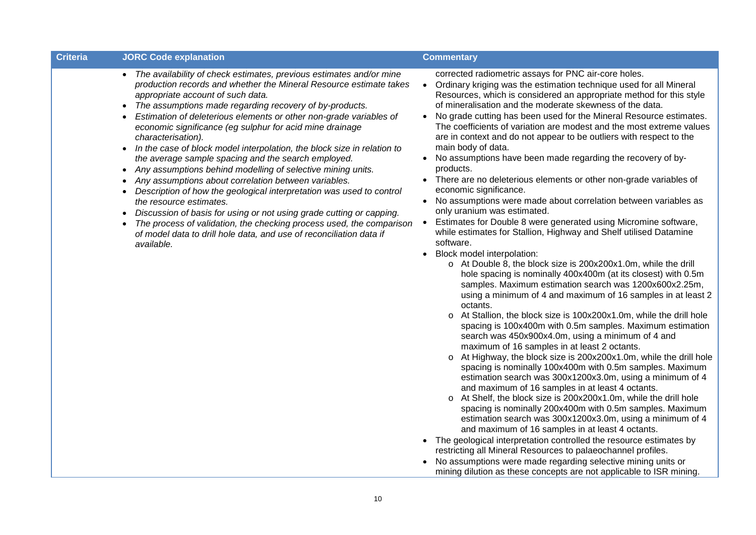| <b>Criteria</b> | <b>JORC Code explanation</b>                                                                                                                                                                                                                                                                                                                                                                                                                                                                                                                                                                                                                                                                                                                                                                                                                                                                                                                                                                                                                                                                       | <b>Commentary</b>                                                                                                                                                                                                                                                                                                                                                                                                                                                                                                                                                                                                                                                                                                                                                                                                                                                                                                                                                                                                                                                                                                                                                                                                                                                                                                                                                                                                                                                                                                                                                                                                                                                                                                                                                                                                                                        |
|-----------------|----------------------------------------------------------------------------------------------------------------------------------------------------------------------------------------------------------------------------------------------------------------------------------------------------------------------------------------------------------------------------------------------------------------------------------------------------------------------------------------------------------------------------------------------------------------------------------------------------------------------------------------------------------------------------------------------------------------------------------------------------------------------------------------------------------------------------------------------------------------------------------------------------------------------------------------------------------------------------------------------------------------------------------------------------------------------------------------------------|----------------------------------------------------------------------------------------------------------------------------------------------------------------------------------------------------------------------------------------------------------------------------------------------------------------------------------------------------------------------------------------------------------------------------------------------------------------------------------------------------------------------------------------------------------------------------------------------------------------------------------------------------------------------------------------------------------------------------------------------------------------------------------------------------------------------------------------------------------------------------------------------------------------------------------------------------------------------------------------------------------------------------------------------------------------------------------------------------------------------------------------------------------------------------------------------------------------------------------------------------------------------------------------------------------------------------------------------------------------------------------------------------------------------------------------------------------------------------------------------------------------------------------------------------------------------------------------------------------------------------------------------------------------------------------------------------------------------------------------------------------------------------------------------------------------------------------------------------------|
|                 | The availability of check estimates, previous estimates and/or mine<br>$\bullet$<br>production records and whether the Mineral Resource estimate takes<br>appropriate account of such data.<br>The assumptions made regarding recovery of by-products.<br>$\bullet$<br>Estimation of deleterious elements or other non-grade variables of<br>economic significance (eg sulphur for acid mine drainage<br>characterisation).<br>In the case of block model interpolation, the block size in relation to<br>$\bullet$<br>the average sample spacing and the search employed.<br>Any assumptions behind modelling of selective mining units.<br>٠<br>Any assumptions about correlation between variables.<br>$\bullet$<br>Description of how the geological interpretation was used to control<br>$\bullet$<br>the resource estimates.<br>Discussion of basis for using or not using grade cutting or capping.<br>$\bullet$<br>The process of validation, the checking process used, the comparison<br>$\bullet$<br>of model data to drill hole data, and use of reconciliation data if<br>available. | corrected radiometric assays for PNC air-core holes.<br>Ordinary kriging was the estimation technique used for all Mineral<br>$\bullet$<br>Resources, which is considered an appropriate method for this style<br>of mineralisation and the moderate skewness of the data.<br>No grade cutting has been used for the Mineral Resource estimates.<br>The coefficients of variation are modest and the most extreme values<br>are in context and do not appear to be outliers with respect to the<br>main body of data.<br>No assumptions have been made regarding the recovery of by-<br>products.<br>There are no deleterious elements or other non-grade variables of<br>economic significance.<br>No assumptions were made about correlation between variables as<br>$\bullet$<br>only uranium was estimated.<br>Estimates for Double 8 were generated using Micromine software,<br>while estimates for Stallion, Highway and Shelf utilised Datamine<br>software.<br>Block model interpolation:<br>$\bullet$<br>o At Double 8, the block size is 200x200x1.0m, while the drill<br>hole spacing is nominally 400x400m (at its closest) with 0.5m<br>samples. Maximum estimation search was 1200x600x2.25m,<br>using a minimum of 4 and maximum of 16 samples in at least 2<br>octants.<br>o At Stallion, the block size is 100x200x1.0m, while the drill hole<br>spacing is 100x400m with 0.5m samples. Maximum estimation<br>search was 450x900x4.0m, using a minimum of 4 and<br>maximum of 16 samples in at least 2 octants.<br>o At Highway, the block size is 200x200x1.0m, while the drill hole<br>spacing is nominally 100x400m with 0.5m samples. Maximum<br>estimation search was 300x1200x3.0m, using a minimum of 4<br>and maximum of 16 samples in at least 4 octants.<br>o At Shelf, the block size is 200x200x1.0m, while the drill hole |

- spacing is nominally 200x400m with 0.5m samples. Maximum estimation search was 300x1200x3.0m, using a minimum of 4 and maximum of 16 samples in at least 4 octants.
- The geological interpretation controlled the resource estimates by restricting all Mineral Resources to palaeochannel profiles.
- No assumptions were made regarding selective mining units or mining dilution as these concepts are not applicable to ISR mining.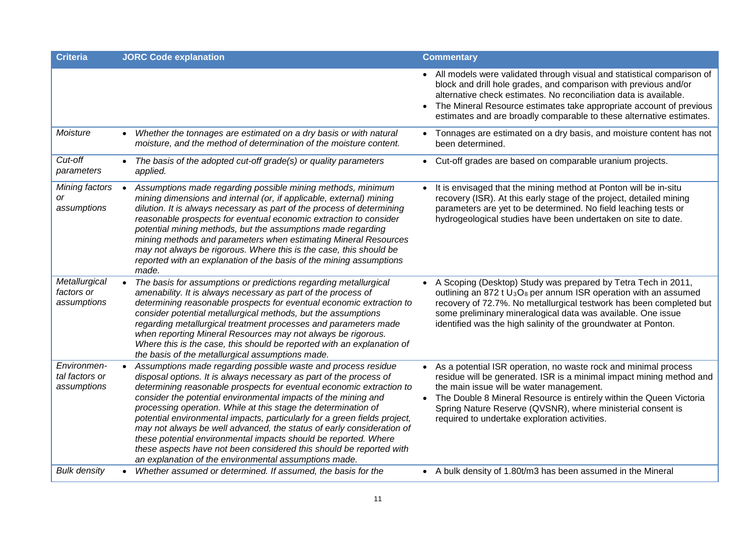| <b>Criteria</b>                              | <b>JORC Code explanation</b>                                                                                                                                                                                                                                                                                                                                                                                                                                                                                                                                                                                                                                                                                          | <b>Commentary</b>                                                                                                                                                                                                                                                                                                                                                              |
|----------------------------------------------|-----------------------------------------------------------------------------------------------------------------------------------------------------------------------------------------------------------------------------------------------------------------------------------------------------------------------------------------------------------------------------------------------------------------------------------------------------------------------------------------------------------------------------------------------------------------------------------------------------------------------------------------------------------------------------------------------------------------------|--------------------------------------------------------------------------------------------------------------------------------------------------------------------------------------------------------------------------------------------------------------------------------------------------------------------------------------------------------------------------------|
|                                              |                                                                                                                                                                                                                                                                                                                                                                                                                                                                                                                                                                                                                                                                                                                       | • All models were validated through visual and statistical comparison of<br>block and drill hole grades, and comparison with previous and/or<br>alternative check estimates. No reconciliation data is available.<br>• The Mineral Resource estimates take appropriate account of previous<br>estimates and are broadly comparable to these alternative estimates.             |
| Moisture                                     | Whether the tonnages are estimated on a dry basis or with natural<br>$\bullet$<br>moisture, and the method of determination of the moisture content.                                                                                                                                                                                                                                                                                                                                                                                                                                                                                                                                                                  | Tonnages are estimated on a dry basis, and moisture content has not<br>been determined.                                                                                                                                                                                                                                                                                        |
| Cut-off<br>parameters                        | The basis of the adopted cut-off grade(s) or quality parameters<br>applied.                                                                                                                                                                                                                                                                                                                                                                                                                                                                                                                                                                                                                                           | • Cut-off grades are based on comparable uranium projects.                                                                                                                                                                                                                                                                                                                     |
| Mining factors<br>or<br>assumptions          | Assumptions made regarding possible mining methods, minimum<br>mining dimensions and internal (or, if applicable, external) mining<br>dilution. It is always necessary as part of the process of determining<br>reasonable prospects for eventual economic extraction to consider<br>potential mining methods, but the assumptions made regarding<br>mining methods and parameters when estimating Mineral Resources<br>may not always be rigorous. Where this is the case, this should be<br>reported with an explanation of the basis of the mining assumptions<br>made.                                                                                                                                            | It is envisaged that the mining method at Ponton will be in-situ<br>recovery (ISR). At this early stage of the project, detailed mining<br>parameters are yet to be determined. No field leaching tests or<br>hydrogeological studies have been undertaken on site to date.                                                                                                    |
| Metallurgical<br>factors or<br>assumptions   | The basis for assumptions or predictions regarding metallurgical<br>amenability. It is always necessary as part of the process of<br>determining reasonable prospects for eventual economic extraction to<br>consider potential metallurgical methods, but the assumptions<br>regarding metallurgical treatment processes and parameters made<br>when reporting Mineral Resources may not always be rigorous.<br>Where this is the case, this should be reported with an explanation of<br>the basis of the metallurgical assumptions made.                                                                                                                                                                           | • A Scoping (Desktop) Study was prepared by Tetra Tech in 2011,<br>outlining an 872 t $U_3O_8$ per annum ISR operation with an assumed<br>recovery of 72.7%. No metallurgical testwork has been completed but<br>some preliminary mineralogical data was available. One issue<br>identified was the high salinity of the groundwater at Ponton.                                |
| Environmen-<br>tal factors or<br>assumptions | Assumptions made regarding possible waste and process residue<br>$\bullet$<br>disposal options. It is always necessary as part of the process of<br>determining reasonable prospects for eventual economic extraction to<br>consider the potential environmental impacts of the mining and<br>processing operation. While at this stage the determination of<br>potential environmental impacts, particularly for a green fields project,<br>may not always be well advanced, the status of early consideration of<br>these potential environmental impacts should be reported. Where<br>these aspects have not been considered this should be reported with<br>an explanation of the environmental assumptions made. | • As a potential ISR operation, no waste rock and minimal process<br>residue will be generated. ISR is a minimal impact mining method and<br>the main issue will be water management.<br>• The Double 8 Mineral Resource is entirely within the Queen Victoria<br>Spring Nature Reserve (QVSNR), where ministerial consent is<br>required to undertake exploration activities. |
| <b>Bulk density</b>                          | Whether assumed or determined. If assumed, the basis for the                                                                                                                                                                                                                                                                                                                                                                                                                                                                                                                                                                                                                                                          | • A bulk density of 1.80t/m3 has been assumed in the Mineral                                                                                                                                                                                                                                                                                                                   |